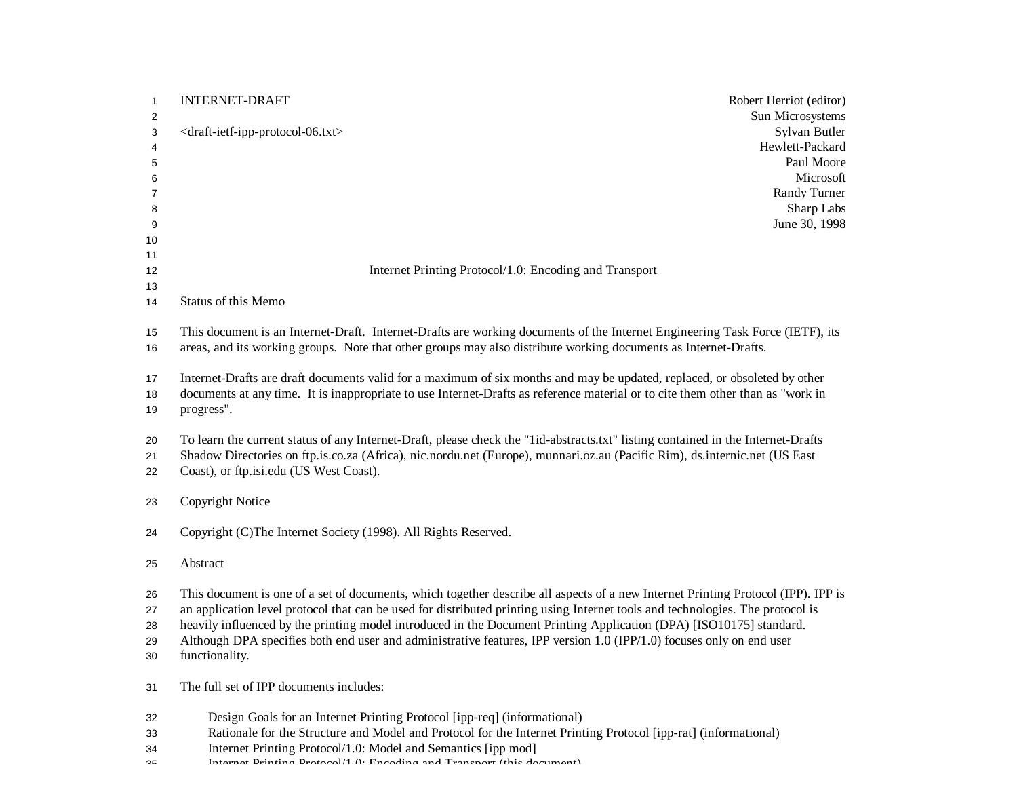| 1                | <b>INTERNET-DRAFT</b><br>Robert Herriot (editor)                                                                                  |
|------------------|-----------------------------------------------------------------------------------------------------------------------------------|
| $\overline{c}$   | Sun Microsystems                                                                                                                  |
| 3                | Sylvan Butler<br><draft-ietf-ipp-protocol-06.txt><br/>Hewlett-Packard</draft-ietf-ipp-protocol-06.txt>                            |
| 4<br>$\mathbf 5$ | Paul Moore                                                                                                                        |
| 6                | Microsoft                                                                                                                         |
| 7                | Randy Turner                                                                                                                      |
| 8                | Sharp Labs                                                                                                                        |
| 9                | June 30, 1998                                                                                                                     |
| 10               |                                                                                                                                   |
| 11               |                                                                                                                                   |
| 12               | Internet Printing Protocol/1.0: Encoding and Transport                                                                            |
| 13               |                                                                                                                                   |
| 14               | Status of this Memo                                                                                                               |
| 15               | This document is an Internet-Draft. Internet-Drafts are working documents of the Internet Engineering Task Force (IETF), its      |
| 16               | areas, and its working groups. Note that other groups may also distribute working documents as Internet-Drafts.                   |
|                  |                                                                                                                                   |
| 17               | Internet-Drafts are draft documents valid for a maximum of six months and may be updated, replaced, or obsoleted by other         |
| 18               | documents at any time. It is inappropriate to use Internet-Drafts as reference material or to cite them other than as "work in    |
| 19               | progress".                                                                                                                        |
|                  |                                                                                                                                   |
| 20               | To learn the current status of any Internet-Draft, please check the "1id-abstracts.txt" listing contained in the Internet-Drafts  |
| 21               | Shadow Directories on ftp.is.co.za (Africa), nic.nordu.net (Europe), munnari.oz.au (Pacific Rim), ds.internic.net (US East        |
| 22               | Coast), or ftp.isi.edu (US West Coast).                                                                                           |
|                  |                                                                                                                                   |
| 23               | Copyright Notice                                                                                                                  |
| 24               | Copyright (C)The Internet Society (1998). All Rights Reserved.                                                                    |
|                  |                                                                                                                                   |
| 25               | Abstract                                                                                                                          |
|                  |                                                                                                                                   |
| 26               | This document is one of a set of documents, which together describe all aspects of a new Internet Printing Protocol (IPP). IPP is |
| 27               | an application level protocol that can be used for distributed printing using Internet tools and technologies. The protocol is    |
| 28               | heavily influenced by the printing model introduced in the Document Printing Application (DPA) [ISO10175] standard.               |
| 29               | Although DPA specifies both end user and administrative features, IPP version 1.0 (IPP/1.0) focuses only on end user              |
| 30               | functionality.                                                                                                                    |
| 31               | The full set of IPP documents includes:                                                                                           |
| 32               | Design Goals for an Internet Printing Protocol [ipp-req] (informational)                                                          |
| 33               | Rationale for the Structure and Model and Protocol for the Internet Printing Protocol [ipp-rat] (informational)                   |
| 34               | Internet Printing Protocol/1.0: Model and Semantics [ipp mod]                                                                     |

Internet Printing Protocol/1.0: Encoding and Transport (this document)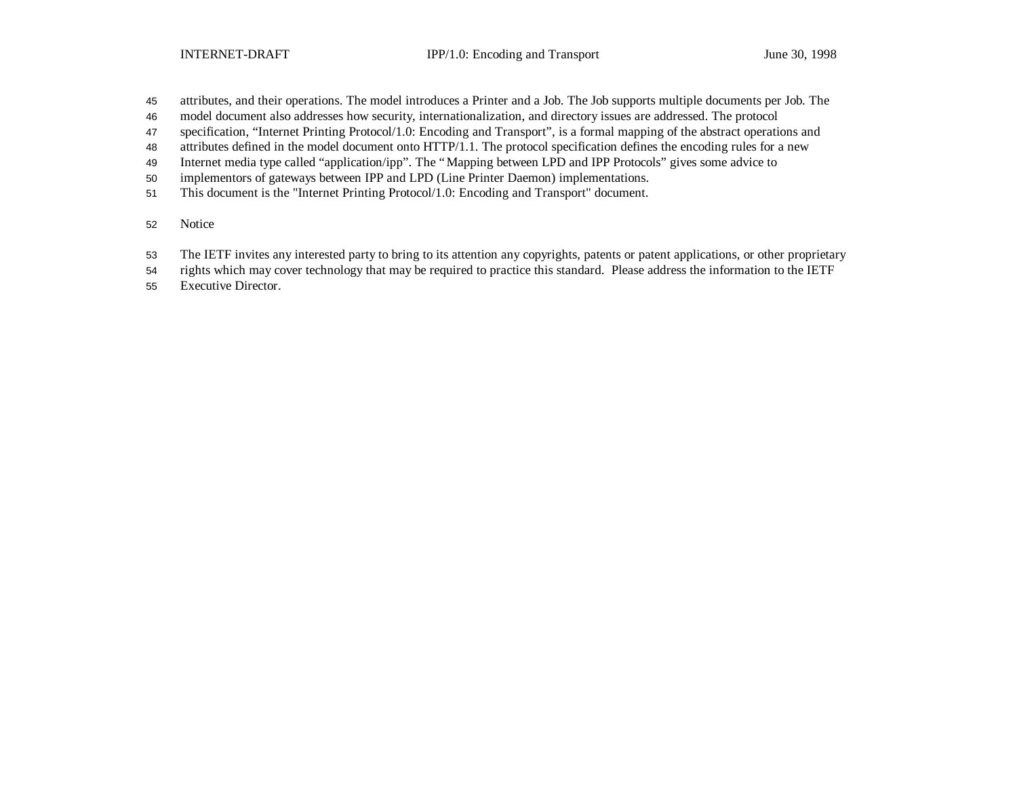- attributes, and their operations. The model introduces a Printer and a Job. The Job supports multiple documents per Job. The
- model document also addresses how security, internationalization, and directory issues are addressed. The protocol
- specification, "Internet Printing Protocol/1.0: Encoding and Transport", is a formal mapping of the abstract operations and
- attributes defined in the model document onto HTTP/1.1. The protocol specification defines the encoding rules for a new
- Internet media type called "application/ipp". The "Mapping between LPD and IPP Protocols" gives some advice to
- implementors of gateways between IPP and LPD (Line Printer Daemon) implementations.
- This document is the "Internet Printing Protocol/1.0: Encoding and Transport" document.
- Notice
- The IETF invites any interested party to bring to its attention any copyrights, patents or patent applications, or other proprietary
- rights which may cover technology that may be required to practice this standard. Please address the information to the IETF
- Executive Director.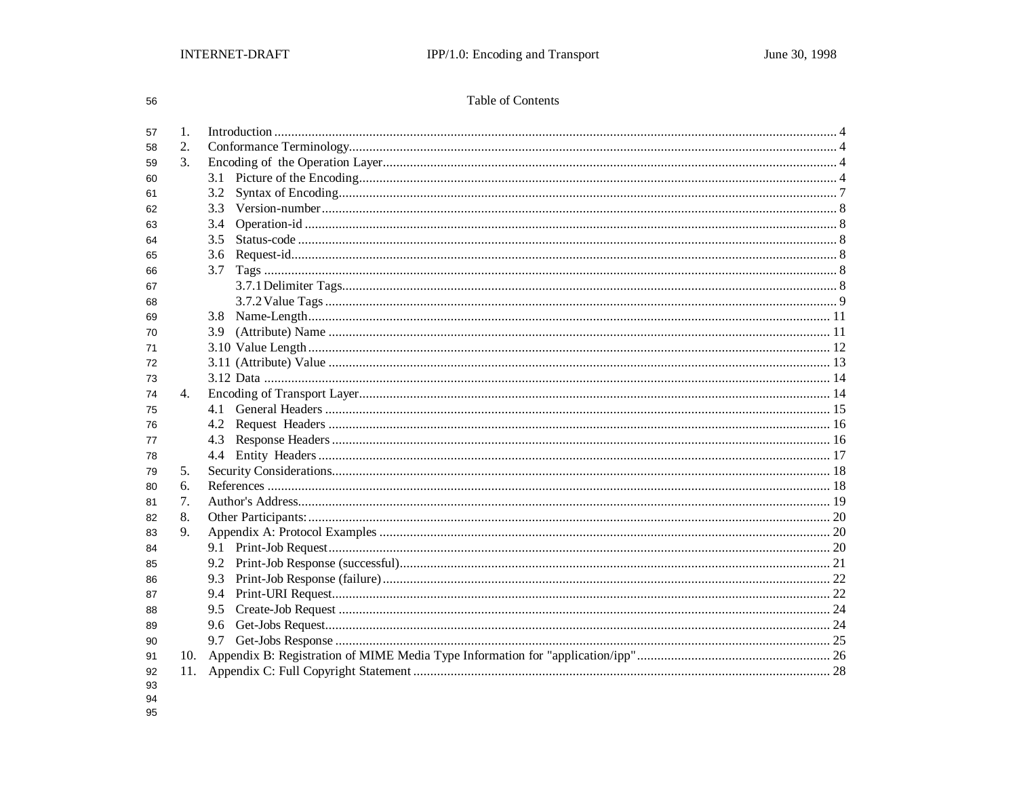56

# Table of Contents

| 57       | 1. |     |  |  |
|----------|----|-----|--|--|
| 58       | 2. |     |  |  |
| 59       | 3. |     |  |  |
| 60       |    |     |  |  |
| 61       |    | 3.2 |  |  |
| 62       |    | 3.3 |  |  |
| 63       |    | 3.4 |  |  |
| 64       |    | 3.5 |  |  |
| 65       |    | 3.6 |  |  |
| 66       |    | 3.7 |  |  |
| 67       |    |     |  |  |
| 68       |    |     |  |  |
| 69       |    | 3.8 |  |  |
| 70       |    | 3.9 |  |  |
| 71       |    |     |  |  |
| 72       |    |     |  |  |
| 73       |    |     |  |  |
| 74       | 4. |     |  |  |
| 75       |    |     |  |  |
| 76       |    | 4.2 |  |  |
| 77       |    | 4.3 |  |  |
| 78       |    |     |  |  |
| 79       | 5. |     |  |  |
| 80       | 6. |     |  |  |
| 81       | 7. |     |  |  |
| 82       | 8. |     |  |  |
| 83       | 9. |     |  |  |
| 84       |    |     |  |  |
| 85       |    |     |  |  |
| 86       |    |     |  |  |
| 87       |    |     |  |  |
| 88       |    | 9.5 |  |  |
| 89       |    | 9.6 |  |  |
| 90       |    |     |  |  |
| 91       |    |     |  |  |
| 92<br>93 |    |     |  |  |

- 
- 94<br>95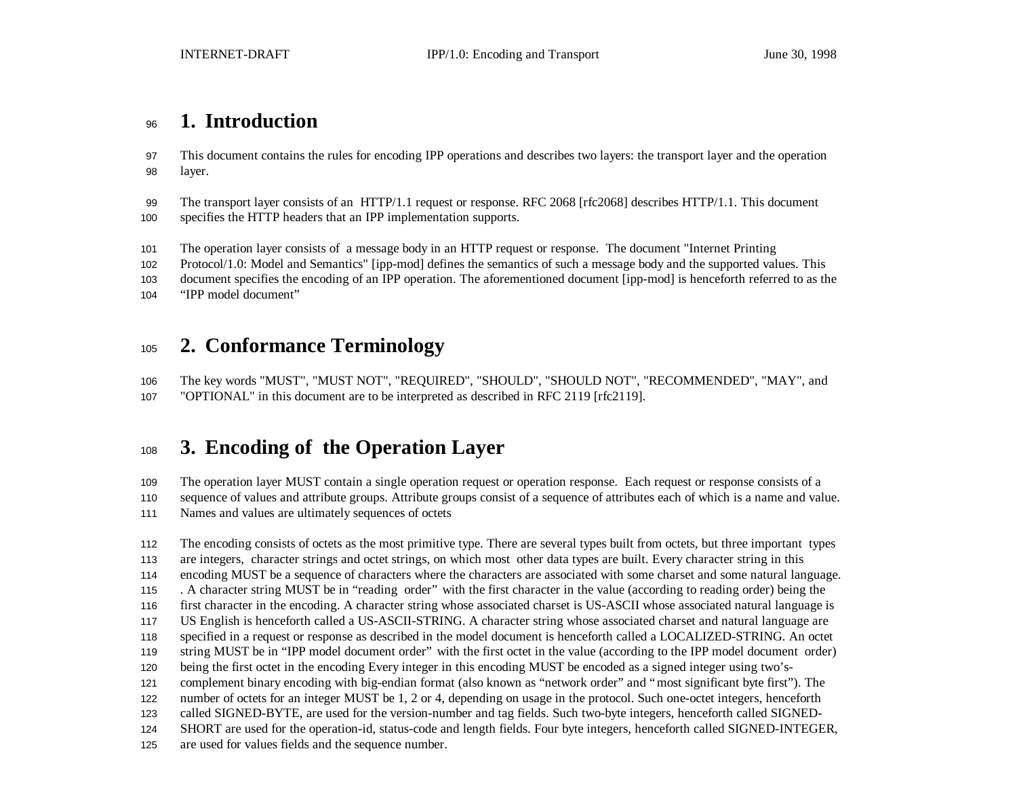# **1. Introduction**

 This document contains the rules for encoding IPP operations and describes two layers: the transport layer and the operation layer.

 The transport layer consists of an HTTP/1.1 request or response. RFC 2068 [rfc2068] describes HTTP/1.1. This document specifies the HTTP headers that an IPP implementation supports.

The operation layer consists of a message body in an HTTP request or response. The document "Internet Printing

Protocol/1.0: Model and Semantics" [ipp-mod] defines the semantics of such a message body and the supported values. This

document specifies the encoding of an IPP operation. The aforementioned document [ipp-mod] is henceforth referred to as the

"IPP model document"

# **2. Conformance Terminology**

 The key words "MUST", "MUST NOT", "REQUIRED", "SHOULD", "SHOULD NOT", "RECOMMENDED", "MAY", and "OPTIONAL" in this document are to be interpreted as described in RFC 2119 [rfc2119].

# **3. Encoding of the Operation Layer**

The operation layer MUST contain a single operation request or operation response. Each request or response consists of a

sequence of values and attribute groups. Attribute groups consist of a sequence of attributes each of which is a name and value.

Names and values are ultimately sequences of octets

 The encoding consists of octets as the most primitive type. There are several types built from octets, but three important types are integers, character strings and octet strings, on which most other data types are built. Every character string in this encoding MUST be a sequence of characters where the characters are associated with some charset and some natural language. . A character string MUST be in "reading order" with the first character in the value (according to reading order) being the first character in the encoding. A character string whose associated charset is US-ASCII whose associated natural language is US English is henceforth called a US-ASCII-STRING. A character string whose associated charset and natural language are specified in a request or response as described in the model document is henceforth called a LOCALIZED-STRING. An octet string MUST be in "IPP model document order" with the first octet in the value (according to the IPP model document order) being the first octet in the encoding Every integer in this encoding MUST be encoded as a signed integer using two's- complement binary encoding with big-endian format (also known as "network order" and "most significant byte first"). The number of octets for an integer MUST be 1, 2 or 4, depending on usage in the protocol. Such one-octet integers, henceforth called SIGNED-BYTE, are used for the version-number and tag fields. Such two-byte integers, henceforth called SIGNED- SHORT are used for the operation-id, status-code and length fields. Four byte integers, henceforth called SIGNED-INTEGER, are used for values fields and the sequence number.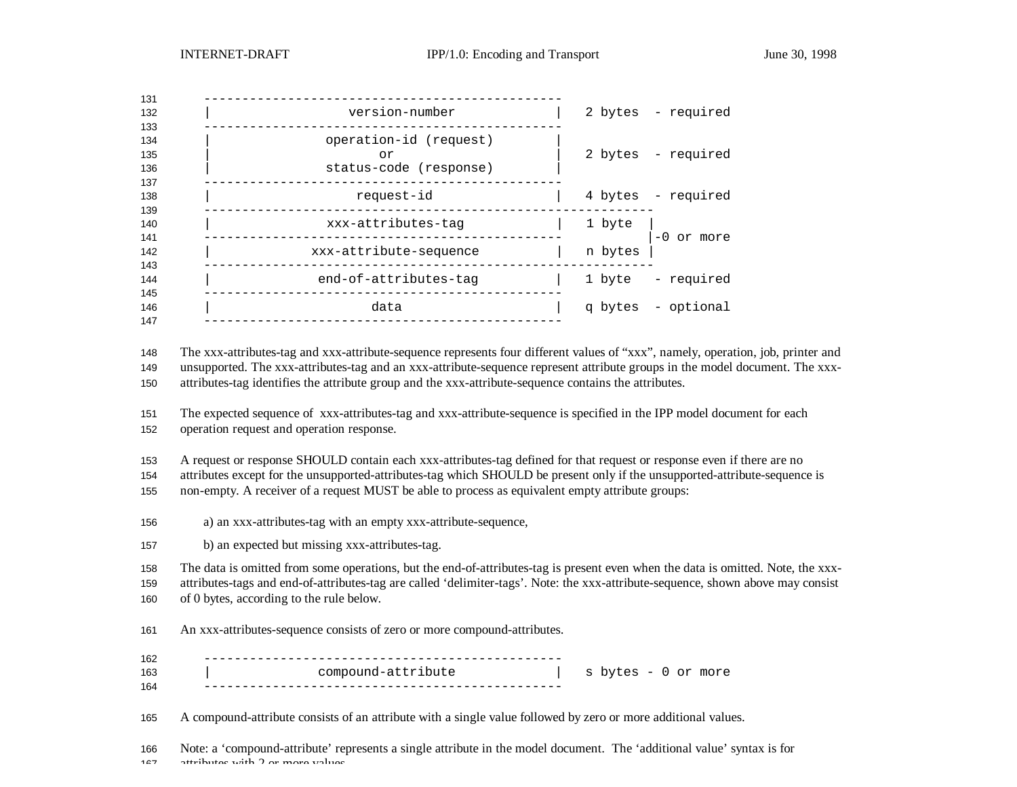| 131               |                                                        |         |                    |
|-------------------|--------------------------------------------------------|---------|--------------------|
| 132<br>133        | version-number                                         |         | 2 bytes - required |
| 134<br>135<br>136 | operation-id (request)<br>or<br>status-code (response) |         | 2 bytes - required |
| 137<br>138<br>139 | request-id                                             |         | 4 bytes - required |
| 140<br>141        | xxx-attributes-tag                                     | 1 byte  | $-0$ or more       |
| 142<br>143        | xxx-attribute-sequence                                 | n bytes |                    |
| 144<br>145        | end-of-attributes-tag                                  | 1 byte  | - required         |
| 146<br>147        | data                                                   |         | q bytes - optional |
|                   |                                                        |         |                    |

The xxx-attributes-tag and xxx-attribute-sequence represents four different values of "xxx", namely, operation, job, printer and

 unsupported. The xxx-attributes-tag and an xxx-attribute-sequence represent attribute groups in the model document. The xxx-attributes-tag identifies the attribute group and the xxx-attribute-sequence contains the attributes.

 The expected sequence of xxx-attributes-tag and xxx-attribute-sequence is specified in the IPP model document for each operation request and operation response.

A request or response SHOULD contain each xxx-attributes-tag defined for that request or response even if there are no

attributes except for the unsupported-attributes-tag which SHOULD be present only if the unsupported-attribute-sequence is

non-empty. A receiver of a request MUST be able to process as equivalent empty attribute groups:

a) an xxx-attributes-tag with an empty xxx-attribute-sequence,

b) an expected but missing xxx-attributes-tag.

The data is omitted from some operations, but the end-of-attributes-tag is present even when the data is omitted. Note, the xxx-

 attributes-tags and end-of-attributes-tag are called 'delimiter-tags'. Note: the xxx-attribute-sequence, shown above may consist of 0 bytes, according to the rule below.

An xxx-attributes-sequence consists of zero or more compound-attributes.

| 162 |                    |                         |  |           |
|-----|--------------------|-------------------------|--|-----------|
| 163 | compound-attribute | $\mathbf{C}$<br>bytes – |  | U or more |
| 164 |                    |                         |  |           |

A compound-attribute consists of an attribute with a single value followed by zero or more additional values.

 Note: a 'compound-attribute' represents a single attribute in the model document. The 'additional value' syntax is for attributes with 2 or more values.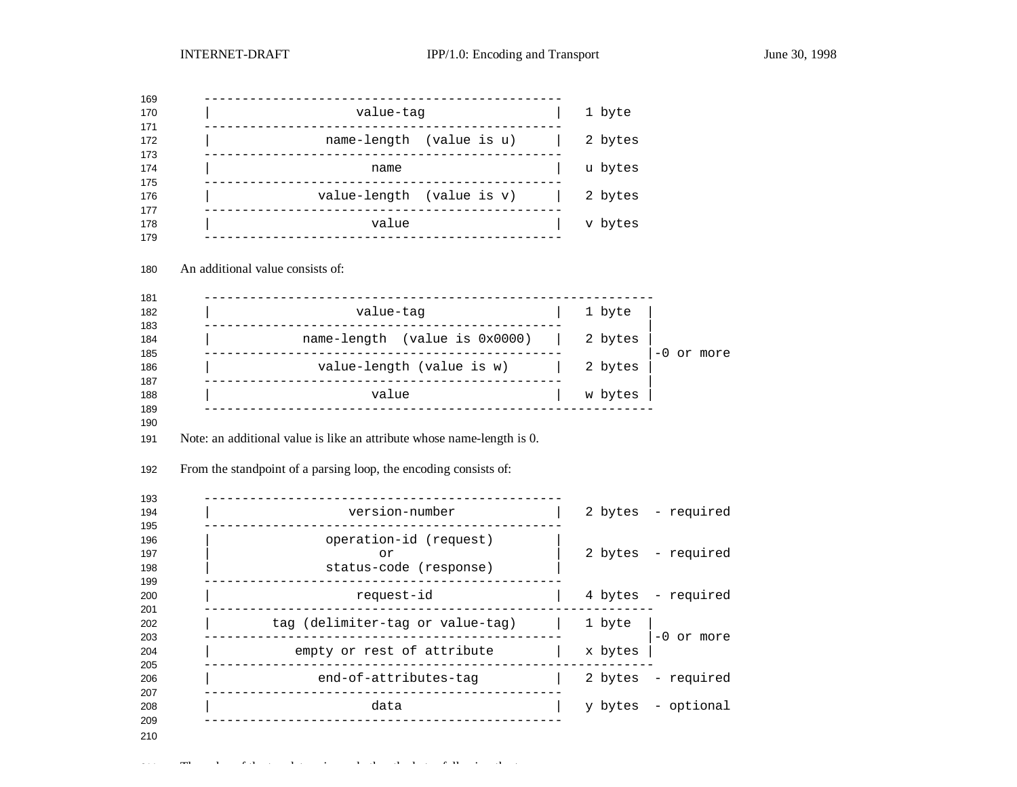| value-tag                                                                       | 1 byte  |                    |
|---------------------------------------------------------------------------------|---------|--------------------|
| name-length (value is u)                                                        | 2 bytes |                    |
| name                                                                            | u bytes |                    |
| value-length (value is v)                                                       | 2 bytes |                    |
| value                                                                           | v bytes |                    |
|                                                                                 |         |                    |
| An additional value consists of:                                                |         |                    |
| value-taq                                                                       | 1 byte  |                    |
| name-length (value is 0x0000)                                                   | 2 bytes |                    |
| value-length (value is w)                                                       | 2 bytes | -0 or more         |
|                                                                                 |         |                    |
| value<br>Note: an additional value is like an attribute whose name-length is 0. | w bytes |                    |
| From the standpoint of a parsing loop, the encoding consists of:                |         |                    |
| version-number                                                                  |         | 2 bytes - required |
| operation-id (request)<br>or<br>status-code (response)                          |         | 2 bytes - required |
| request-id                                                                      | 4 bytes | - required         |
| . _ _ _ _ _ _ _ _ _ _ _ _ _ _ _<br>tag (delimiter-tag or value-tag)             | 1 byte  |                    |
| empty or rest of attribute                                                      | x bytes | -0 or more         |
| ____________________________<br>end-of-attributes-tag                           | 2 bytes | - required         |
| data                                                                            | y bytes | - optional         |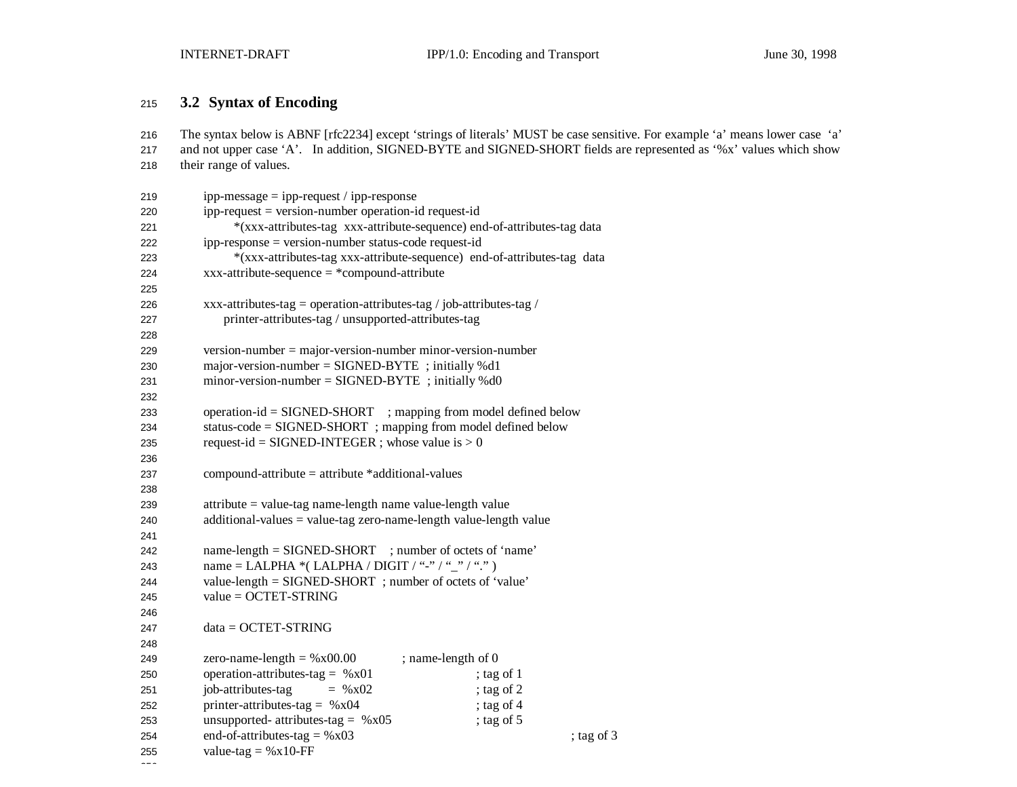# **3.2 Syntax of Encoding**

 The syntax below is ABNF [rfc2234] except 'strings of literals' MUST be case sensitive. For example 'a' means lower case 'a' and not upper case 'A'. In addition, SIGNED-BYTE and SIGNED-SHORT fields are represented as '%x' values which show their range of values.

| 219 | $ipp-message = ipp-request / ipp-response$                              |  |  |
|-----|-------------------------------------------------------------------------|--|--|
| 220 | ipp-request = version-number operation-id request-id                    |  |  |
| 221 | *(xxx-attributes-tag xxx-attribute-sequence) end-of-attributes-tag data |  |  |
| 222 | ipp-response = version-number status-code request-id                    |  |  |
| 223 | *(xxx-attributes-tag xxx-attribute-sequence) end-of-attributes-tag data |  |  |
| 224 | $xxx$ -attribute-sequence = *compound-attribute                         |  |  |
| 225 |                                                                         |  |  |
| 226 | xxx-attributes-tag = operation-attributes-tag / job-attributes-tag /    |  |  |
| 227 | printer-attributes-tag / unsupported-attributes-tag                     |  |  |
| 228 |                                                                         |  |  |
| 229 | $version-number = majorversion-number minorversion-number$              |  |  |
| 230 | major-version-number = $SIGNED-BYTE$ ; initially %d1                    |  |  |
| 231 | minor-version-number = $SIGNED-BYTE$ ; initially %d0                    |  |  |
| 232 |                                                                         |  |  |
| 233 | operation-id = SIGNED-SHORT ; mapping from model defined below          |  |  |
| 234 | status-code = SIGNED-SHORT; mapping from model defined below            |  |  |
| 235 | request-id = SIGNED-INTEGER ; whose value is $> 0$                      |  |  |
| 236 |                                                                         |  |  |
| 237 | compound-attribute = attribute *additional-values                       |  |  |
| 238 |                                                                         |  |  |
| 239 | $attribute = value-tag name-length name value-length value$             |  |  |
| 240 | $additional-values = value-tag zero-name-length value-length value$     |  |  |
| 241 |                                                                         |  |  |
| 242 | name-length = SIGNED-SHORT ; number of octets of 'name'                 |  |  |
| 243 | name = LALPHA *( LALPHA / DIGIT / "-" / "_" / ".")                      |  |  |
| 244 | value-length = SIGNED-SHORT; number of octets of 'value'                |  |  |
| 245 | $value = OCTET-STRING$                                                  |  |  |
| 246 |                                                                         |  |  |
| 247 | $data = OCTET-STRING$                                                   |  |  |
| 248 |                                                                         |  |  |
| 249 | zero-name-length = $%x00.00$<br>; name-length of 0                      |  |  |
| 250 | operation-attributes-tag = $%x01$<br>; tag of $1$                       |  |  |
| 251 | job-attributes-tag<br>; tag of 2<br>$=$ % x02                           |  |  |
| 252 | printer-attributes-tag = $%x04$<br>; tag of $4$                         |  |  |
| 253 | unsupported- attributes-tag = $%x05$<br>; tag of $5$                    |  |  |
| 254 | end-of-attributes-tag = $%x03$<br>; tag of $3$                          |  |  |
| 255 | value-tag = $%x10$ -FF                                                  |  |  |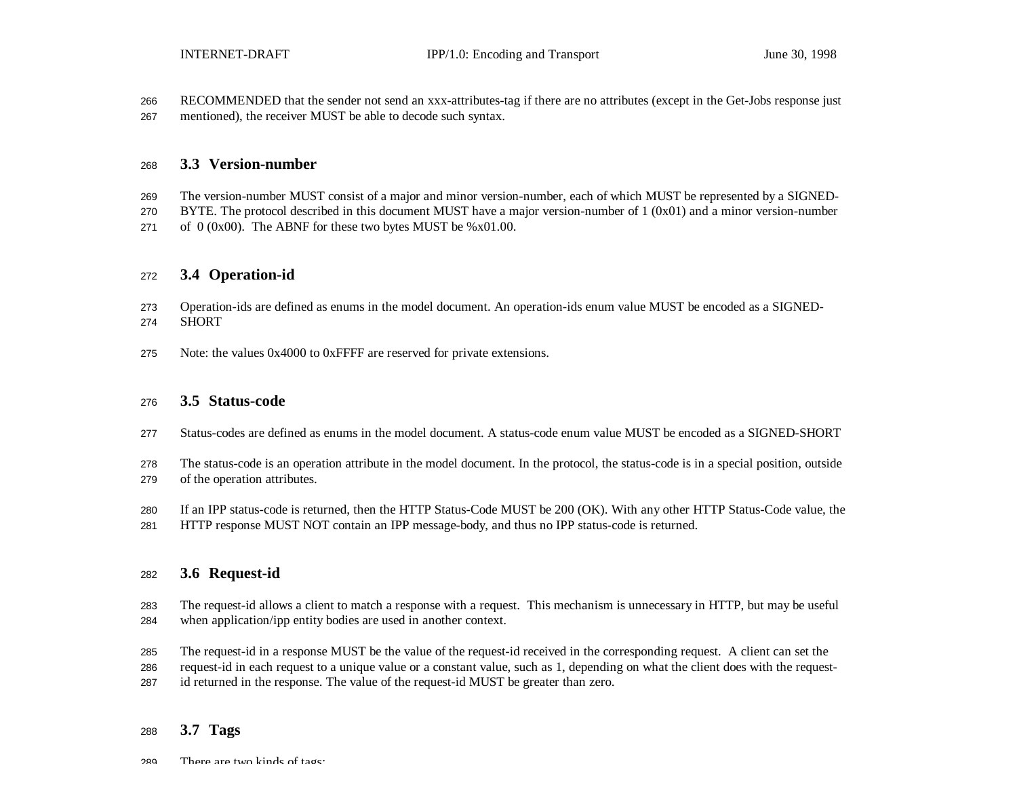RECOMMENDED that the sender not send an xxx-attributes-tag if there are no attributes (except in the Get-Jobs response just mentioned), the receiver MUST be able to decode such syntax.

#### **3.3 Version-number**

- The version-number MUST consist of a major and minor version-number, each of which MUST be represented by a SIGNED-
- BYTE. The protocol described in this document MUST have a major version-number of 1 (0x01) and a minor version-number 271 of (0x00). The ABNF for these two bytes MUST be %x01.00.

### **3.4 Operation-id**

- Operation-ids are defined as enums in the model document. An operation-ids enum value MUST be encoded as a SIGNED-SHORT
- Note: the values 0x4000 to 0xFFFF are reserved for private extensions.

### **3.5 Status-code**

- Status-codes are defined as enums in the model document. A status-code enum value MUST be encoded as a SIGNED-SHORT
- The status-code is an operation attribute in the model document. In the protocol, the status-code is in a special position, outside of the operation attributes.
- If an IPP status-code is returned, then the HTTP Status-Code MUST be 200 (OK). With any other HTTP Status-Code value, the
- HTTP response MUST NOT contain an IPP message-body, and thus no IPP status-code is returned.

### **3.6 Request-id**

- The request-id allows a client to match a response with a request. This mechanism is unnecessary in HTTP, but may be useful when application/ipp entity bodies are used in another context.
- The request-id in a response MUST be the value of the request-id received in the corresponding request. A client can set the
- request-id in each request to a unique value or a constant value, such as 1, depending on what the client does with the request-
- id returned in the response. The value of the request-id MUST be greater than zero.

### **3.7 Tags**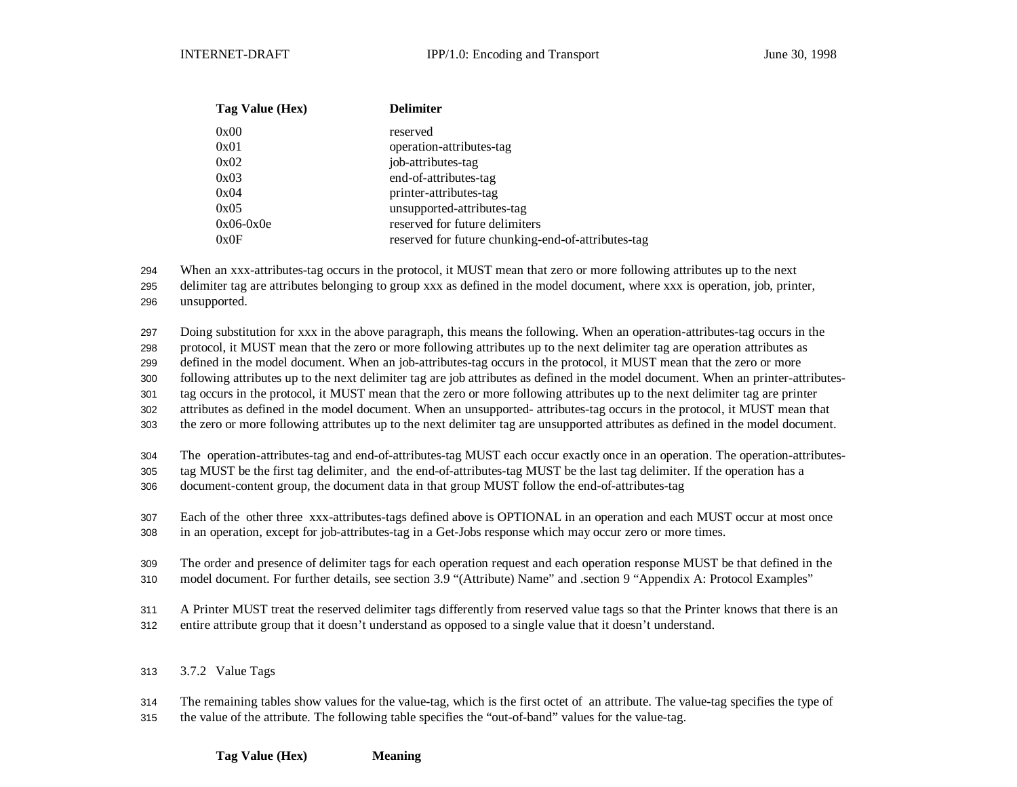| <b>Delimiter</b>                                   |
|----------------------------------------------------|
| reserved                                           |
| operation-attributes-tag                           |
| job-attributes-tag                                 |
| end-of-attributes-tag                              |
| printer-attributes-tag                             |
| unsupported-attributes-tag                         |
| reserved for future delimiters                     |
| reserved for future chunking-end-of-attributes-tag |
|                                                    |

When an xxx-attributes-tag occurs in the protocol, it MUST mean that zero or more following attributes up to the next

delimiter tag are attributes belonging to group xxx as defined in the model document, where xxx is operation, job, printer,

unsupported.

Doing substitution for xxx in the above paragraph, this means the following. When an operation-attributes-tag occurs in the

protocol, it MUST mean that the zero or more following attributes up to the next delimiter tag are operation attributes as

defined in the model document. When an job-attributes-tag occurs in the protocol, it MUST mean that the zero or more

following attributes up to the next delimiter tag are job attributes as defined in the model document. When an printer-attributes-

tag occurs in the protocol, it MUST mean that the zero or more following attributes up to the next delimiter tag are printer

attributes as defined in the model document. When an unsupported- attributes-tag occurs in the protocol, it MUST mean that

the zero or more following attributes up to the next delimiter tag are unsupported attributes as defined in the model document.

The operation-attributes-tag and end-of-attributes-tag MUST each occur exactly once in an operation. The operation-attributes-

tag MUST be the first tag delimiter, and the end-of-attributes-tag MUST be the last tag delimiter. If the operation has a

document-content group, the document data in that group MUST follow the end-of-attributes-tag

Each of the other three xxx-attributes-tags defined above is OPTIONAL in an operation and each MUST occur at most once

in an operation, except for job-attributes-tag in a Get-Jobs response which may occur zero or more times.

The order and presence of delimiter tags for each operation request and each operation response MUST be that defined in the

model document. For further details, see section 3.9 "(Attribute) Name" and .section 9 "Appendix A: Protocol Examples"

A Printer MUST treat the reserved delimiter tags differently from reserved value tags so that the Printer knows that there is an

entire attribute group that it doesn't understand as opposed to a single value that it doesn't understand.

3.7.2 Value Tags

 The remaining tables show values for the value-tag, which is the first octet of an attribute. The value-tag specifies the type of the value of the attribute. The following table specifies the "out-of-band" values for the value-tag.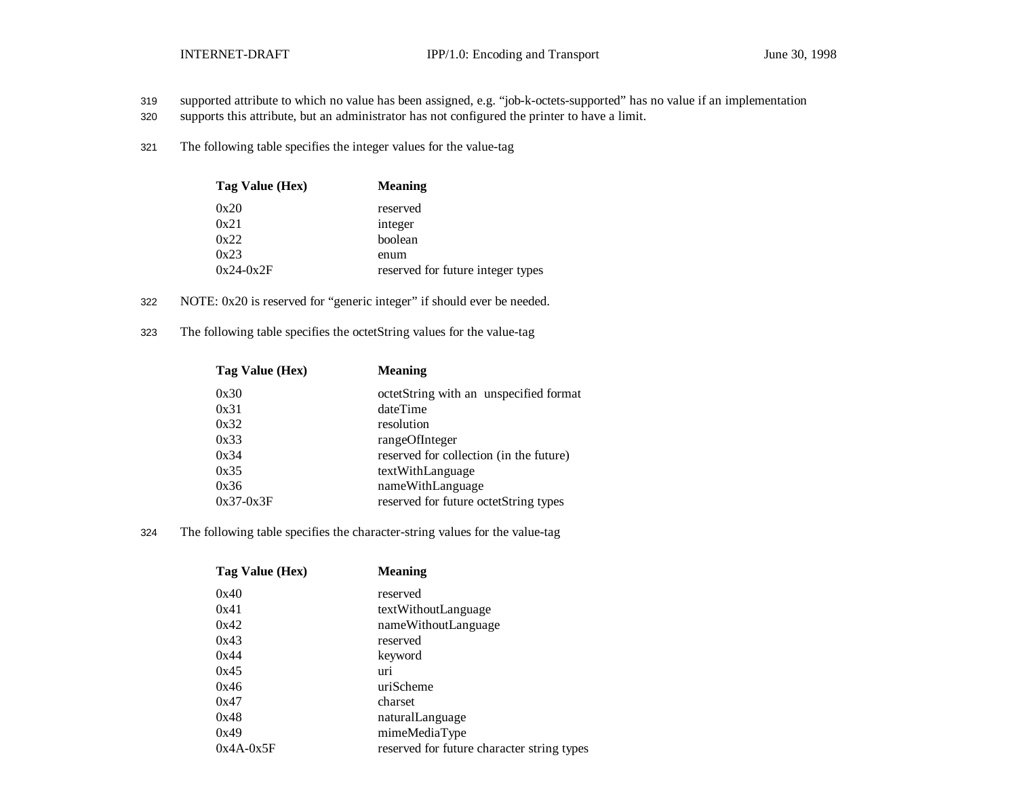- 319 supported attribute to which no value has been assigned, e.g. "job-k-octets-supported" has no value if an implementation
- 320 supports this attribute, but an administrator has not configured the printer to have a limit.
- 321 The following table specifies the integer values for the value-tag

| Tag Value (Hex) | <b>Meaning</b>                    |
|-----------------|-----------------------------------|
| 0x20            | reserved                          |
| 0x21            | integer                           |
| 0x22            | boolean                           |
| 0x23            | enum                              |
| $0x24-0x2F$     | reserved for future integer types |

- 322 NOTE: 0x20 is reserved for "generic integer" if should ever be needed.
- 323 The following table specifies the octetString values for the value-tag

| Tag Value (Hex) | <b>Meaning</b>                          |
|-----------------|-----------------------------------------|
| 0x30            | octetString with an unspecified format  |
| 0x31            | dateTime                                |
| 0x32            | resolution                              |
| 0x33            | rangeOfInteger                          |
| 0x34            | reserved for collection (in the future) |
| 0x35            | textWithLanguage                        |
| 0x36            | nameWithLanguage                        |
| $0x37-0x3F$     | reserved for future octetString types   |
|                 |                                         |

324 The following table specifies the character-string values for the value-tag

| Tag Value (Hex) | <b>Meaning</b>                             |
|-----------------|--------------------------------------------|
| 0x40            | reserved                                   |
| 0x41            | textWithoutLanguage                        |
| 0x42            | nameWithoutLanguage                        |
| 0x43            | reserved                                   |
| 0x44            | keyword                                    |
| 0x45            | uri                                        |
| 0x46            | uriScheme                                  |
| 0x47            | charset                                    |
| 0x48            | naturalLanguage                            |
| 0x49            | mimeMediaType                              |
| $0x4A-0x5F$     | reserved for future character string types |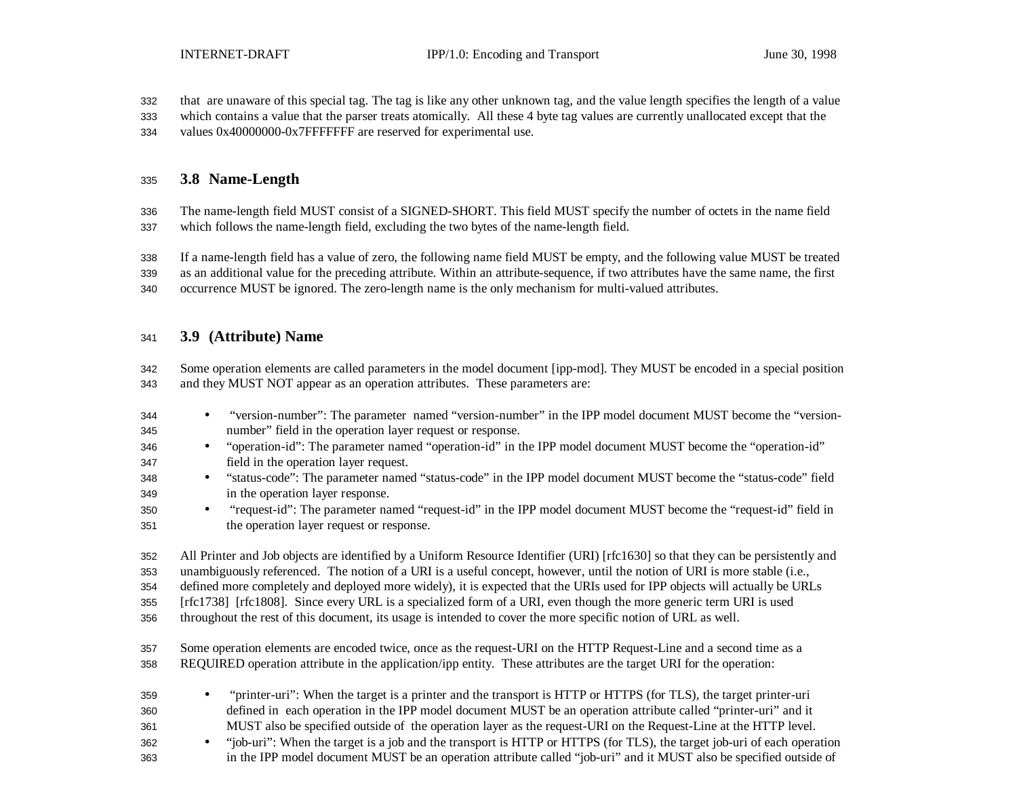that are unaware of this special tag. The tag is like any other unknown tag, and the value length specifies the length of a value

- which contains a value that the parser treats atomically. All these 4 byte tag values are currently unallocated except that the
- values 0x40000000-0x7FFFFFFF are reserved for experimental use.

### **3.8 Name-Length**

 The name-length field MUST consist of a SIGNED-SHORT. This field MUST specify the number of octets in the name field which follows the name-length field, excluding the two bytes of the name-length field.

If a name-length field has a value of zero, the following name field MUST be empty, and the following value MUST be treated

as an additional value for the preceding attribute. Within an attribute-sequence, if two attributes have the same name, the first

occurrence MUST be ignored. The zero-length name is the only mechanism for multi-valued attributes.

### **3.9 (Attribute) Name**

- Some operation elements are called parameters in the model document [ipp-mod]. They MUST be encoded in a special position and they MUST NOT appear as an operation attributes. These parameters are:
- "version-number": The parameter named "version-number" in the IPP model document MUST become the "version-number" field in the operation layer request or response.
- "operation-id": The parameter named "operation-id" in the IPP model document MUST become the "operation-id" field in the operation layer request.
- "status-code": The parameter named "status-code" in the IPP model document MUST become the "status-code" field in the operation layer response.
- "request-id": The parameter named "request-id" in the IPP model document MUST become the "request-id" field in the operation layer request or response.

All Printer and Job objects are identified by a Uniform Resource Identifier (URI) [rfc1630] so that they can be persistently and

unambiguously referenced. The notion of a URI is a useful concept, however, until the notion of URI is more stable (i.e.,

defined more completely and deployed more widely), it is expected that the URIs used for IPP objects will actually be URLs

[rfc1738] [rfc1808]. Since every URL is a specialized form of a URI, even though the more generic term URI is used

throughout the rest of this document, its usage is intended to cover the more specific notion of URL as well.

- Some operation elements are encoded twice, once as the request-URI on the HTTP Request-Line and a second time as a REQUIRED operation attribute in the application/ipp entity. These attributes are the target URI for the operation:
- "printer-uri": When the target is a printer and the transport is HTTP or HTTPS (for TLS), the target printer-uri defined in each operation in the IPP model document MUST be an operation attribute called "printer-uri" and it

MUST also be specified outside of the operation layer as the request-URI on the Request-Line at the HTTP level.

 • "job-uri": When the target is a job and the transport is HTTP or HTTPS (for TLS), the target job-uri of each operation in the IPP model document MUST be an operation attribute called "job-uri" and it MUST also be specified outside of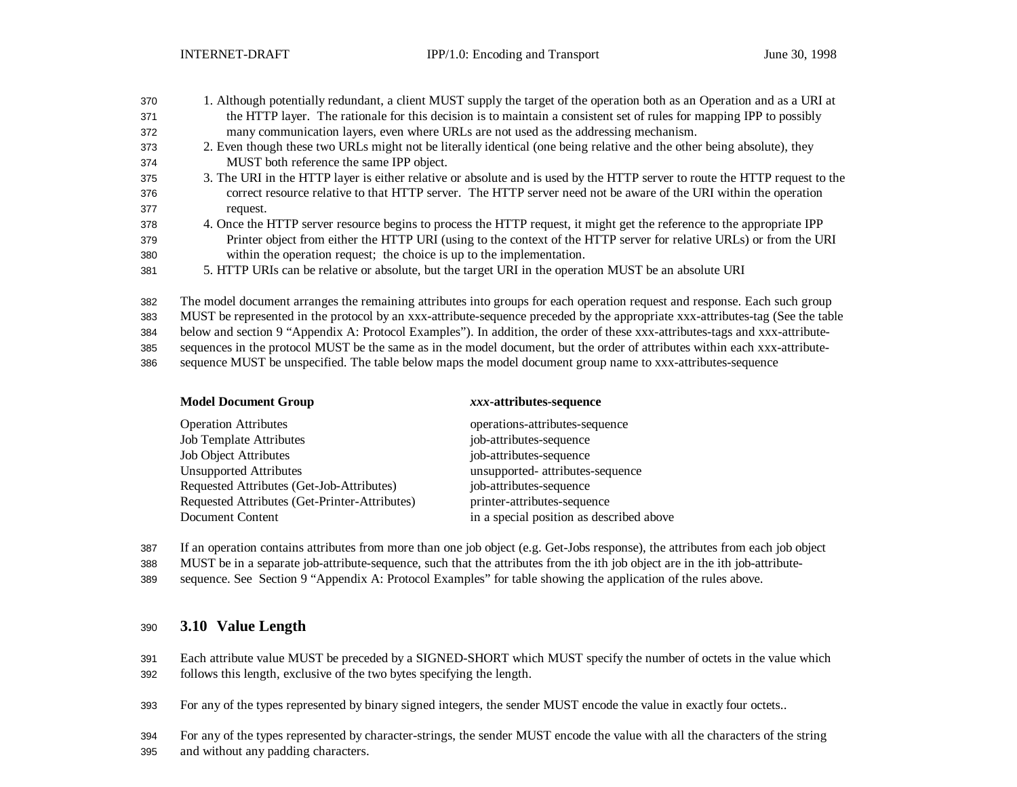| 370 | 1. Although potentially redundant, a client MUST supply the target of the operation both as an Operation and as a URI at    |
|-----|-----------------------------------------------------------------------------------------------------------------------------|
| 371 | the HTTP layer. The rationale for this decision is to maintain a consistent set of rules for mapping IPP to possibly        |
| 372 | many communication layers, even where URLs are not used as the addressing mechanism.                                        |
| 373 | 2. Even though these two URLs might not be literally identical (one being relative and the other being absolute), they      |
| 374 | MUST both reference the same IPP object.                                                                                    |
| 375 | 3. The URI in the HTTP layer is either relative or absolute and is used by the HTTP server to route the HTTP request to the |

- correct resource relative to that HTTP server. The HTTP server need not be aware of the URI within the operation request.
- 4. Once the HTTP server resource begins to process the HTTP request, it might get the reference to the appropriate IPP Printer object from either the HTTP URI (using to the context of the HTTP server for relative URLs) or from the URI within the operation request; the choice is up to the implementation.
- 5. HTTP URIs can be relative or absolute, but the target URI in the operation MUST be an absolute URI

The model document arranges the remaining attributes into groups for each operation request and response. Each such group

MUST be represented in the protocol by an xxx-attribute-sequence preceded by the appropriate xxx-attributes-tag (See the table

below and section 9 "Appendix A: Protocol Examples"). In addition, the order of these xxx-attributes-tags and xxx-attribute-

sequences in the protocol MUST be the same as in the model document, but the order of attributes within each xxx-attribute-

sequence MUST be unspecified. The table below maps the model document group name to xxx-attributes-sequence

| <b>Model Document Group</b>                   | xxx-attributes-sequence                  |
|-----------------------------------------------|------------------------------------------|
| <b>Operation Attributes</b>                   | operations-attributes-sequence           |
| <b>Job Template Attributes</b>                | job-attributes-sequence                  |
| Job Object Attributes                         | job-attributes-sequence                  |
| <b>Unsupported Attributes</b>                 | unsupported- attributes-sequence         |
| Requested Attributes (Get-Job-Attributes)     | job-attributes-sequence                  |
| Requested Attributes (Get-Printer-Attributes) | printer-attributes-sequence              |
| Document Content                              | in a special position as described above |

If an operation contains attributes from more than one job object (e.g. Get-Jobs response), the attributes from each job object

MUST be in a separate job-attribute-sequence, such that the attributes from the ith job object are in the ith job-attribute-

sequence. See Section 9 "Appendix A: Protocol Examples" for table showing the application of the rules above.

### **3.10 Value Length**

 Each attribute value MUST be preceded by a SIGNED-SHORT which MUST specify the number of octets in the value which follows this length, exclusive of the two bytes specifying the length.

For any of the types represented by binary signed integers, the sender MUST encode the value in exactly four octets..

 For any of the types represented by character-strings, the sender MUST encode the value with all the characters of the string and without any padding characters.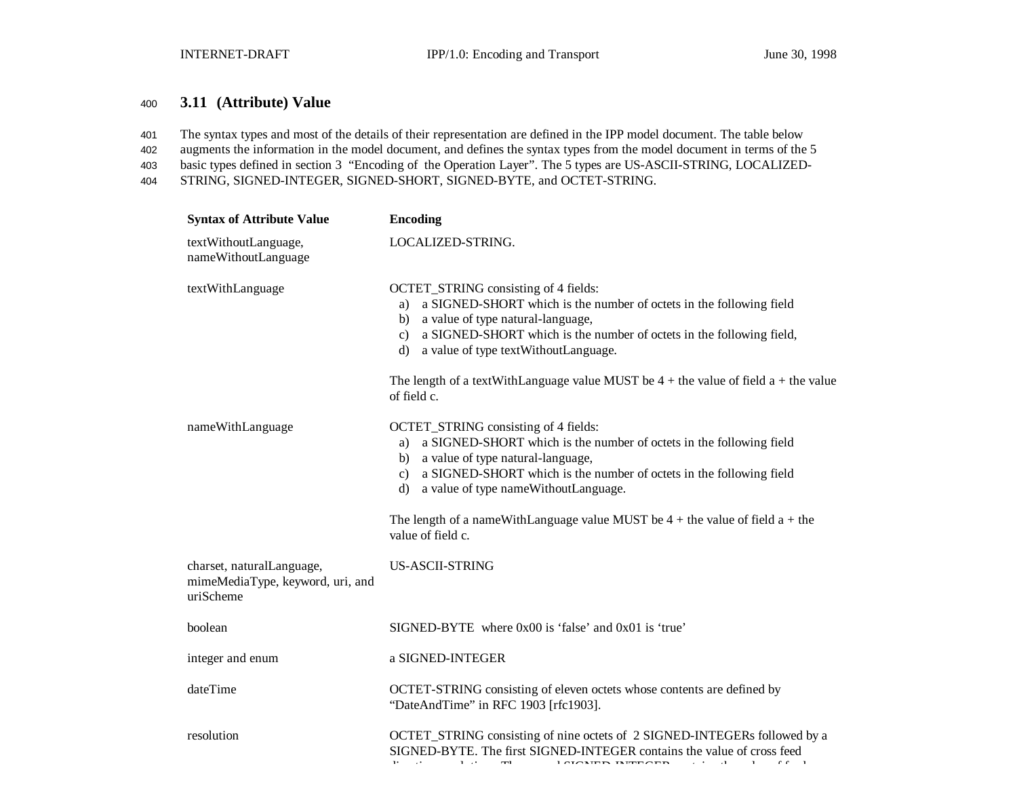### <sup>400</sup> **3.11 (Attribute) Value**

401 The syntax types and most of the details of their representation are defined in the IPP model document. The table below

402 augments the information in the model document, and defines the syntax types from the model document in terms of the 5

403 basic types defined in section 3 "Encoding of the Operation Layer". The 5 types are US-ASCII-STRING, LOCALIZED-

404 STRING, SIGNED-INTEGER, SIGNED-SHORT, SIGNED-BYTE, and OCTET-STRING.

| <b>Syntax of Attribute Value</b>                                           | <b>Encoding</b>                                                                                                                                                                                                                                                                                                                                                                     |
|----------------------------------------------------------------------------|-------------------------------------------------------------------------------------------------------------------------------------------------------------------------------------------------------------------------------------------------------------------------------------------------------------------------------------------------------------------------------------|
| textWithoutLanguage,<br>nameWithoutLanguage                                | LOCALIZED-STRING.                                                                                                                                                                                                                                                                                                                                                                   |
| textWithLanguage                                                           | OCTET_STRING consisting of 4 fields:<br>a SIGNED-SHORT which is the number of octets in the following field<br>a)<br>a value of type natural-language,<br>b)<br>a SIGNED-SHORT which is the number of octets in the following field,<br>$\mathbf{c}$<br>a value of type textWithoutLanguage.<br>d)                                                                                  |
|                                                                            | The length of a textWithLanguage value MUST be $4 +$ the value of field $a +$ the value<br>of field c.                                                                                                                                                                                                                                                                              |
| nameWithLanguage                                                           | OCTET_STRING consisting of 4 fields:<br>a SIGNED-SHORT which is the number of octets in the following field<br>a)<br>b) a value of type natural-language,<br>a SIGNED-SHORT which is the number of octets in the following field<br>$\mathbf{c}$<br>a value of type nameWithoutLanguage.<br>d)<br>The length of a nameWithLanguage value MUST be $4 +$ the value of field $a +$ the |
|                                                                            | value of field c.                                                                                                                                                                                                                                                                                                                                                                   |
| charset, naturalLanguage,<br>mimeMediaType, keyword, uri, and<br>uriScheme | US-ASCII-STRING                                                                                                                                                                                                                                                                                                                                                                     |
| boolean                                                                    | SIGNED-BYTE where 0x00 is 'false' and 0x01 is 'true'                                                                                                                                                                                                                                                                                                                                |
| integer and enum                                                           | a SIGNED-INTEGER                                                                                                                                                                                                                                                                                                                                                                    |
| dateTime                                                                   | OCTET-STRING consisting of eleven octets whose contents are defined by<br>"DateAndTime" in RFC 1903 [rfc1903].                                                                                                                                                                                                                                                                      |
| resolution                                                                 | OCTET_STRING consisting of nine octets of 2 SIGNED-INTEGERs followed by a<br>SIGNED-BYTE. The first SIGNED-INTEGER contains the value of cross feed<br>$\overline{1}$ and $\overline{1}$ means $\overline{1}$ means $\overline{1}$<br>$\mathcal{A}=\{1,2,3\}$<br>$\sim$                                                                                                             |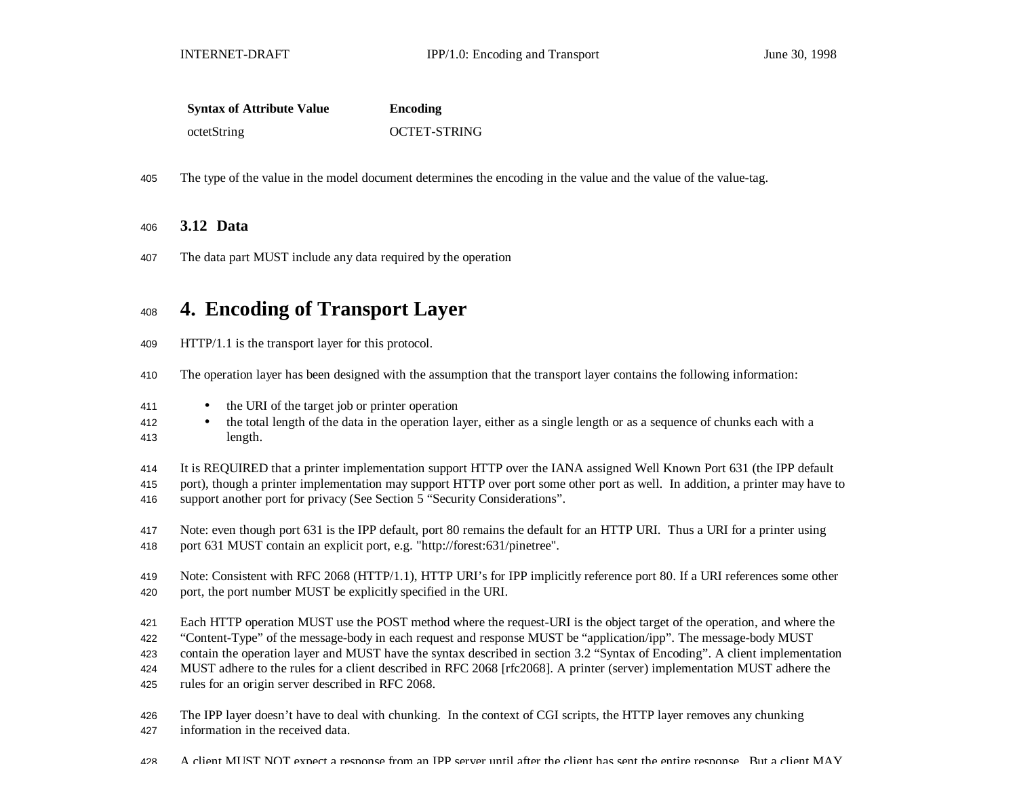| <b>Syntax of Attribute Value</b> | Encoding            |
|----------------------------------|---------------------|
| octetString                      | <b>OCTET-STRING</b> |

The type of the value in the model document determines the encoding in the value and the value of the value-tag.

### **3.12 Data**

The data part MUST include any data required by the operation

# **4. Encoding of Transport Layer**

- HTTP/1.1 is the transport layer for this protocol.
- The operation layer has been designed with the assumption that the transport layer contains the following information:
- the URI of the target job or printer operation
- <sup>412</sup> the total length of the data in the operation layer, either as a single length or as a sequence of chunks each with a length.
- It is REQUIRED that a printer implementation support HTTP over the IANA assigned Well Known Port 631 (the IPP default
- port), though a printer implementation may support HTTP over port some other port as well. In addition, a printer may have to support another port for privacy (See Section 5 "Security Considerations".
- Note: even though port 631 is the IPP default, port 80 remains the default for an HTTP URI. Thus a URI for a printer using port 631 MUST contain an explicit port, e.g. "http://forest:631/pinetree".
- Note: Consistent with RFC 2068 (HTTP/1.1), HTTP URI's for IPP implicitly reference port 80. If a URI references some other port, the port number MUST be explicitly specified in the URI.
- Each HTTP operation MUST use the POST method where the request-URI is the object target of the operation, and where the
- "Content-Type" of the message-body in each request and response MUST be "application/ipp". The message-body MUST
- contain the operation layer and MUST have the syntax described in section 3.2 "Syntax of Encoding". A client implementation
- MUST adhere to the rules for a client described in RFC 2068 [rfc2068]. A printer (server) implementation MUST adhere the
- rules for an origin server described in RFC 2068.
- The IPP layer doesn't have to deal with chunking. In the context of CGI scripts, the HTTP layer removes any chunking
- information in the received data.
- 428 A client MUST NOT expect a response from an IPP server until after the client has sent the entire response. But a client MAY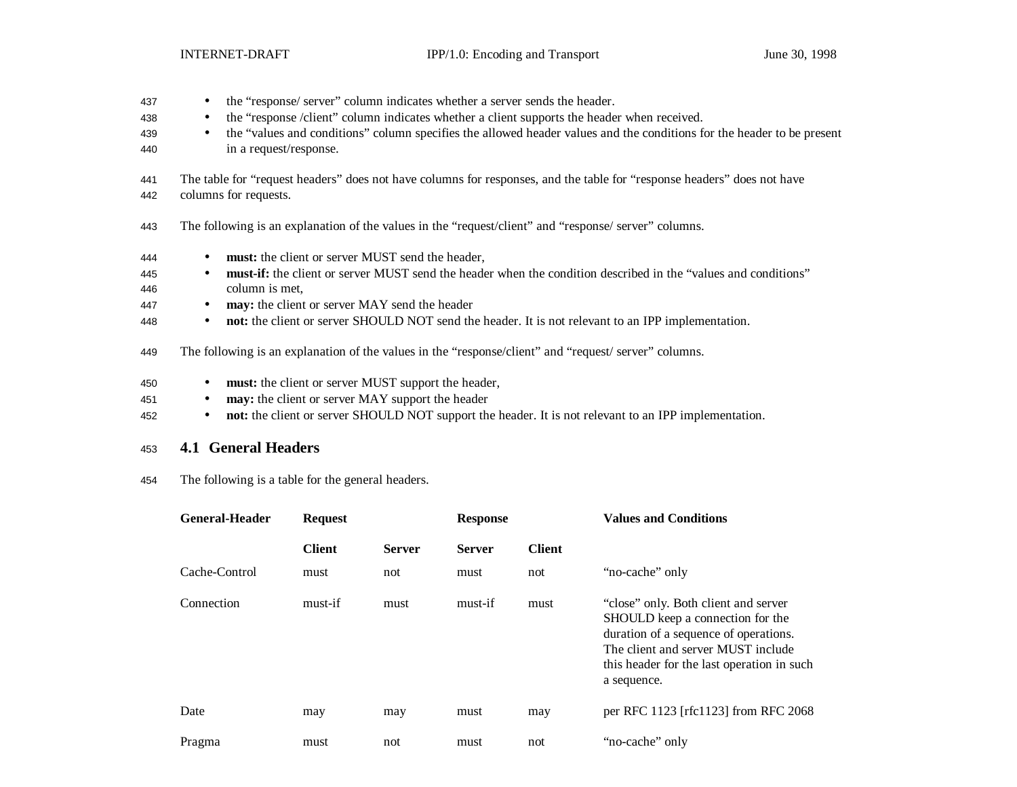- 437 the "response/ server" column indicates whether a server sends the header. 438 • the "response /client" column indicates whether a client supports the header when received.
- 439 the "values and conditions" column specifies the allowed header values and the conditions for the header to be present 440 in a request/response.
- 441 The table for "request headers" does not have columns for responses, and the table for "response headers" does not have 442 columns for requests.
- 443 The following is an explanation of the values in the "request/client" and "response/ server" columns.
- 444 **must:** the client or server MUST send the header,
- 445 **must-if:** the client or server MUST send the header when the condition described in the "values and conditions" 446 column is met,
- 447 **may:** the client or server MAY send the header
- 448 **not:** the client or server SHOULD NOT send the header. It is not relevant to an IPP implementation.
- 449 The following is an explanation of the values in the "response/client" and "request/ server" columns.
- 450 **must:** the client or server MUST support the header,
- 451 **may:** the client or server MAY support the header
- 452 **not:** the client or server SHOULD NOT support the header. It is not relevant to an IPP implementation.

### <sup>453</sup> **4.1 General Headers**

454 The following is a table for the general headers.

| <b>General-Header</b> | <b>Request</b> |               | <b>Response</b> |               | <b>Values and Conditions</b>                                                                                                                                                                                         |
|-----------------------|----------------|---------------|-----------------|---------------|----------------------------------------------------------------------------------------------------------------------------------------------------------------------------------------------------------------------|
|                       | <b>Client</b>  | <b>Server</b> | <b>Server</b>   | <b>Client</b> |                                                                                                                                                                                                                      |
| Cache-Control         | must           | not           | must            | not           | "no-cache" only                                                                                                                                                                                                      |
| Connection            | must-if        | must          | must-if         | must          | "close" only. Both client and server<br>SHOULD keep a connection for the<br>duration of a sequence of operations.<br>The client and server MUST include<br>this header for the last operation in such<br>a sequence. |
| Date                  | may            | may           | must            | may           | per RFC 1123 [rfc1123] from RFC 2068                                                                                                                                                                                 |
| Pragma                | must           | not           | must            | not           | "no-cache" only                                                                                                                                                                                                      |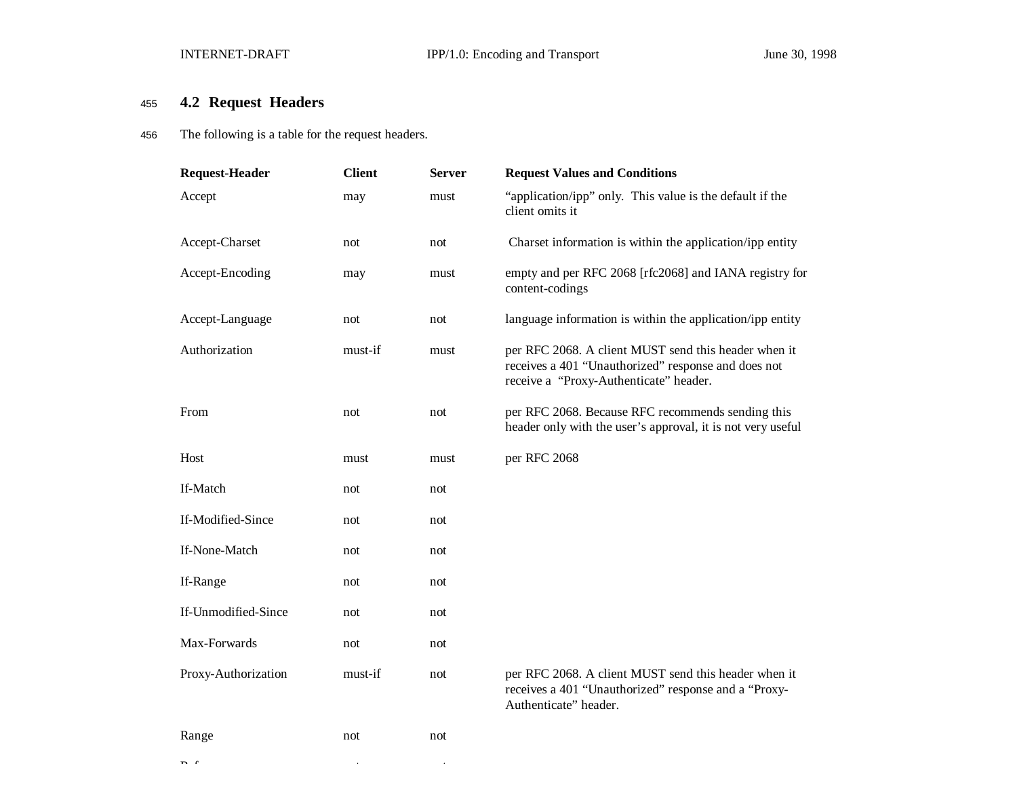# <sup>455</sup> **4.2 Request Headers**

456 The following is a table for the request headers.

| <b>Request-Header</b> | <b>Client</b> | <b>Server</b> | <b>Request Values and Conditions</b>                                                                                                                  |
|-----------------------|---------------|---------------|-------------------------------------------------------------------------------------------------------------------------------------------------------|
| Accept                | may           | must          | "application/ipp" only. This value is the default if the<br>client omits it                                                                           |
| Accept-Charset        | not           | not           | Charset information is within the application/ipp entity                                                                                              |
| Accept-Encoding       | may           | must          | empty and per RFC 2068 [rfc2068] and IANA registry for<br>content-codings                                                                             |
| Accept-Language       | not           | not           | language information is within the application/ipp entity                                                                                             |
| Authorization         | must-if       | must          | per RFC 2068. A client MUST send this header when it<br>receives a 401 "Unauthorized" response and does not<br>receive a "Proxy-Authenticate" header. |
| From                  | not           | not           | per RFC 2068. Because RFC recommends sending this<br>header only with the user's approval, it is not very useful                                      |
| Host                  | must          | must          | per RFC 2068                                                                                                                                          |
| If-Match              | not           | not           |                                                                                                                                                       |
| If-Modified-Since     | not           | not           |                                                                                                                                                       |
| If-None-Match         | not           | not           |                                                                                                                                                       |
| If-Range              | not           | not           |                                                                                                                                                       |
| If-Unmodified-Since   | not           | not           |                                                                                                                                                       |
| Max-Forwards          | not           | not           |                                                                                                                                                       |
| Proxy-Authorization   | must-if       | not           | per RFC 2068. A client MUST send this header when it<br>receives a 401 "Unauthorized" response and a "Proxy-<br>Authenticate" header.                 |
| Range                 | not           | not           |                                                                                                                                                       |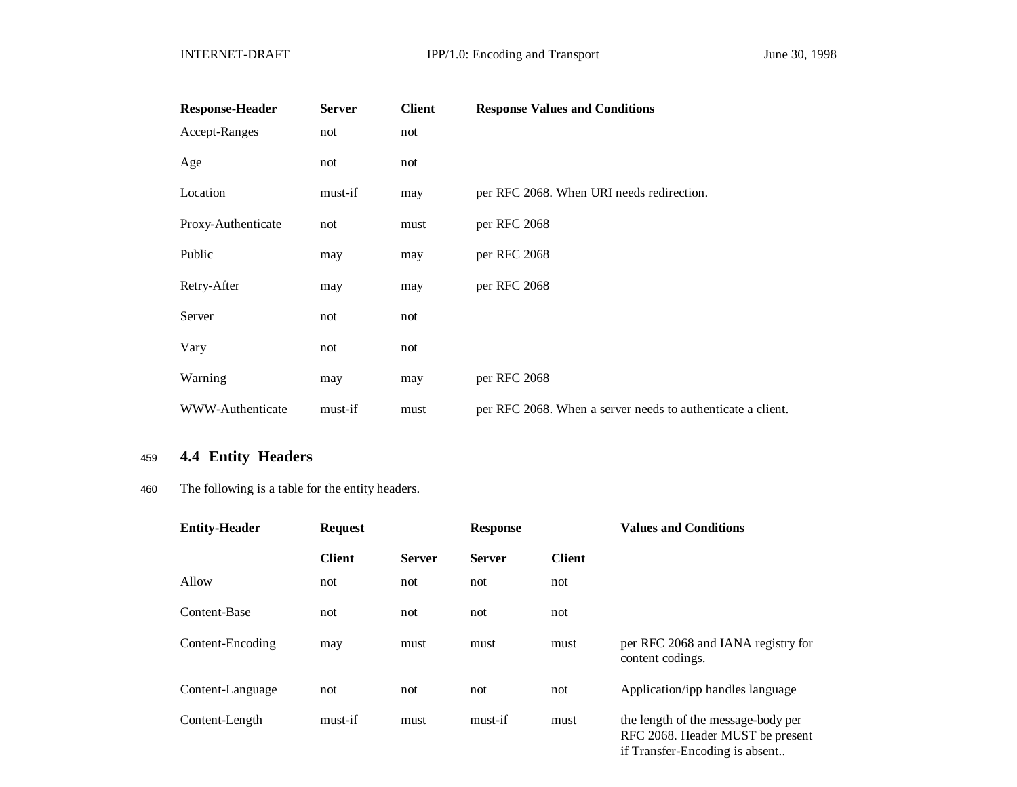| <b>Response-Header</b> | <b>Server</b> | <b>Client</b> | <b>Response Values and Conditions</b>                       |
|------------------------|---------------|---------------|-------------------------------------------------------------|
| Accept-Ranges          | not           | not           |                                                             |
| Age                    | not           | not           |                                                             |
| Location               | must-if       | may           | per RFC 2068. When URI needs redirection.                   |
| Proxy-Authenticate     | not           | must          | per RFC 2068                                                |
| Public                 | may           | may           | per RFC 2068                                                |
| Retry-After            | may           | may           | per RFC 2068                                                |
| Server                 | not           | not           |                                                             |
| Vary                   | not           | not           |                                                             |
| Warning                | may           | may           | per RFC 2068                                                |
| WWW-Authenticate       | must-if       | must          | per RFC 2068. When a server needs to authenticate a client. |

# <sup>459</sup> **4.4 Entity Headers**

### 460 The following is a table for the entity headers.

| <b>Entity-Header</b> | <b>Request</b> |               | <b>Response</b> |               | <b>Values and Conditions</b>                                           |
|----------------------|----------------|---------------|-----------------|---------------|------------------------------------------------------------------------|
|                      | <b>Client</b>  | <b>Server</b> | <b>Server</b>   | <b>Client</b> |                                                                        |
| Allow                | not            | not           | not             | not           |                                                                        |
| Content-Base         | not            | not           | not             | not           |                                                                        |
| Content-Encoding     | may            | must          | must            | must          | per RFC 2068 and IANA registry for<br>content codings.                 |
| Content-Language     | not            | not           | not             | not           | Application/ipp handles language                                       |
| Content-Length       | must-if        | must          | must-if         | must          | the length of the message-body per<br>RFC 2068. Header MUST be present |

if Transfer-Encoding is absent..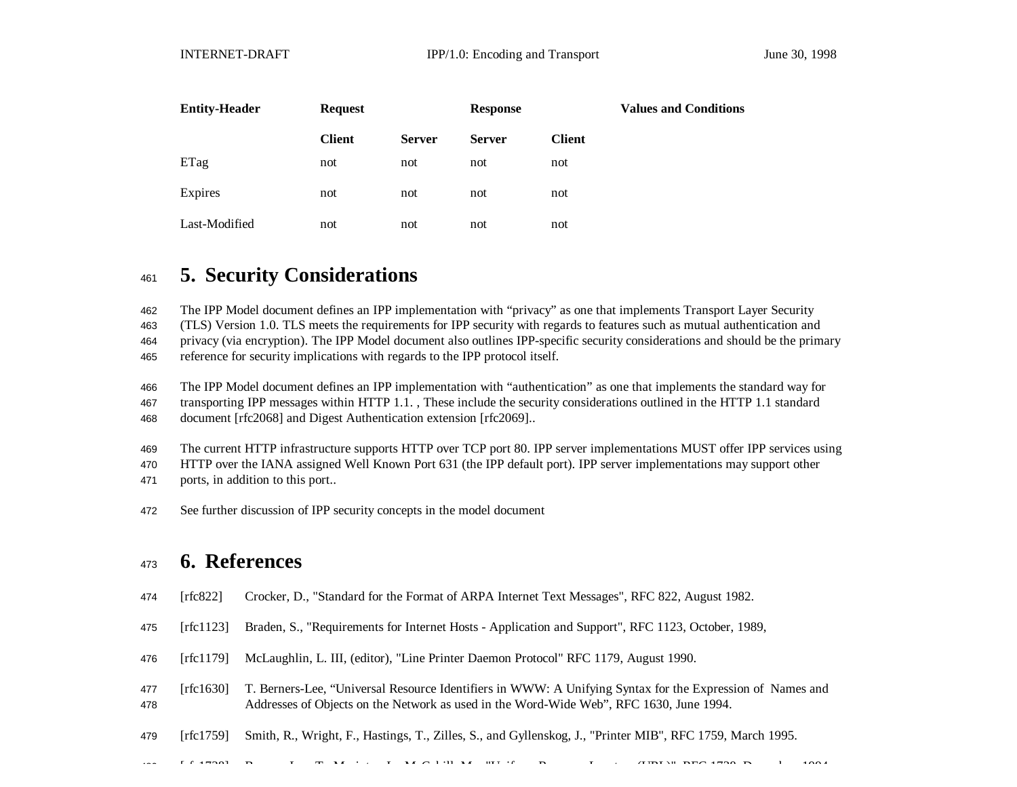| <b>Entity-Header</b> | <b>Request</b> |               | <b>Response</b> |               | <b>Values and Conditions</b> |
|----------------------|----------------|---------------|-----------------|---------------|------------------------------|
|                      | <b>Client</b>  | <b>Server</b> | <b>Server</b>   | <b>Client</b> |                              |
| ETag                 | not            | not           | not             | not           |                              |
| Expires              | not            | not           | not             | not           |                              |
| Last-Modified        | not            | not           | not             | not           |                              |

# **5. Security Considerations**

The IPP Model document defines an IPP implementation with "privacy" as one that implements Transport Layer Security

(TLS) Version 1.0. TLS meets the requirements for IPP security with regards to features such as mutual authentication and

privacy (via encryption). The IPP Model document also outlines IPP-specific security considerations and should be the primary

reference for security implications with regards to the IPP protocol itself.

The IPP Model document defines an IPP implementation with "authentication" as one that implements the standard way for

transporting IPP messages within HTTP 1.1. , These include the security considerations outlined in the HTTP 1.1 standard

document [rfc2068] and Digest Authentication extension [rfc2069]..

The current HTTP infrastructure supports HTTP over TCP port 80. IPP server implementations MUST offer IPP services using

HTTP over the IANA assigned Well Known Port 631 (the IPP default port). IPP server implementations may support other

ports, in addition to this port..

See further discussion of IPP security concepts in the model document

# **6. References**

- [rfc822] Crocker, D., "Standard for the Format of ARPA Internet Text Messages", RFC 822, August 1982.
- [rfc1123] Braden, S., "Requirements for Internet Hosts Application and Support", RFC 1123, October, 1989,
- [rfc1179] McLaughlin, L. III, (editor), "Line Printer Daemon Protocol" RFC 1179, August 1990.
- [rfc1630] T. Berners-Lee, "Universal Resource Identifiers in WWW: A Unifying Syntax for the Expression of Names and Addresses of Objects on the Network as used in the Word-Wide Web", RFC 1630, June 1994.
- [rfc1759] Smith, R., Wright, F., Hastings, T., Zilles, S., and Gyllenskog, J., "Printer MIB", RFC 1759, March 1995.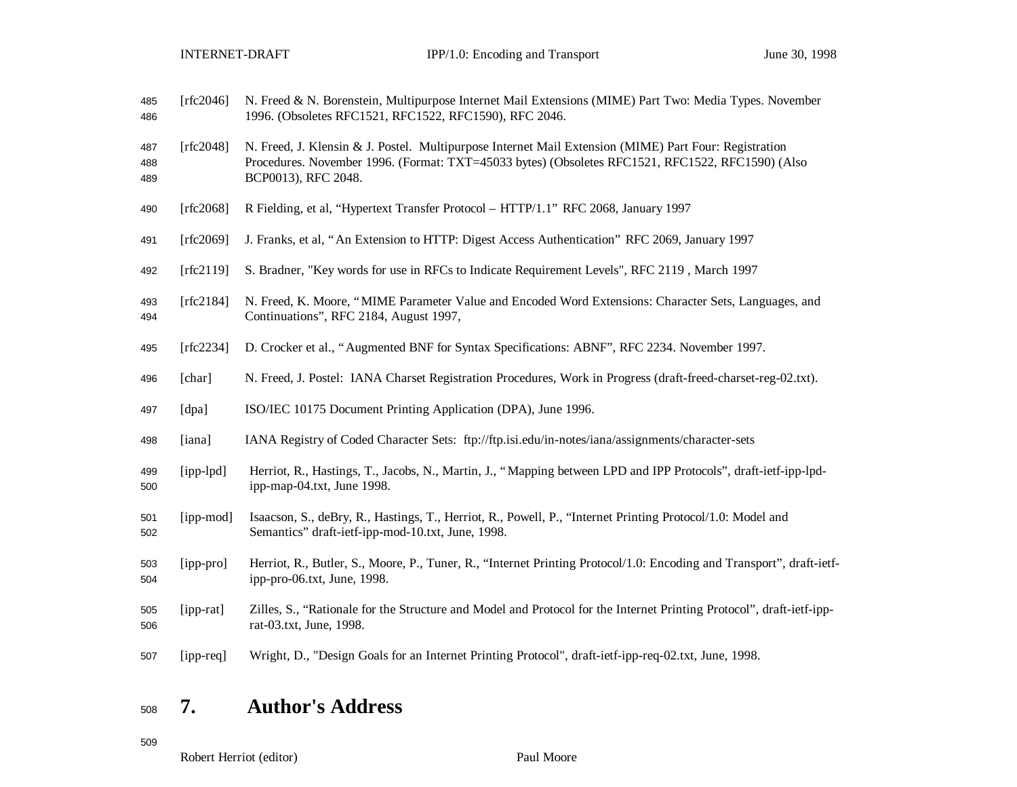| 485<br>486        | [rfc2046] | N. Freed & N. Borenstein, Multipurpose Internet Mail Extensions (MIME) Part Two: Media Types. November<br>1996. (Obsoletes RFC1521, RFC1522, RFC1590), RFC 2046.                                                                 |
|-------------------|-----------|----------------------------------------------------------------------------------------------------------------------------------------------------------------------------------------------------------------------------------|
| 487<br>488<br>489 | [rfc2048] | N. Freed, J. Klensin & J. Postel. Multipurpose Internet Mail Extension (MIME) Part Four: Registration<br>Procedures. November 1996. (Format: TXT=45033 bytes) (Obsoletes RFC1521, RFC1522, RFC1590) (Also<br>BCP0013), RFC 2048. |
| 490               | [rfc2068] | R Fielding, et al, "Hypertext Transfer Protocol - HTTP/1.1" RFC 2068, January 1997                                                                                                                                               |
| 491               | [rfc2069] | J. Franks, et al, "An Extension to HTTP: Digest Access Authentication" RFC 2069, January 1997                                                                                                                                    |
| 492               | [rfc2119] | S. Bradner, "Key words for use in RFCs to Indicate Requirement Levels", RFC 2119, March 1997                                                                                                                                     |
| 493<br>494        | [rfc2184] | N. Freed, K. Moore, "MIME Parameter Value and Encoded Word Extensions: Character Sets, Languages, and<br>Continuations", RFC 2184, August 1997,                                                                                  |
| 495               | [rfc2234] | D. Crocker et al., "Augmented BNF for Syntax Specifications: ABNF", RFC 2234. November 1997.                                                                                                                                     |
| 496               | [char]    | N. Freed, J. Postel: IANA Charset Registration Procedures, Work in Progress (draft-freed-charset-reg-02.txt).                                                                                                                    |
| 497               | [dpa]     | ISO/IEC 10175 Document Printing Application (DPA), June 1996.                                                                                                                                                                    |
| 498               | [iana]    | IANA Registry of Coded Character Sets: ftp://ftp.isi.edu/in-notes/iana/assignments/character-sets                                                                                                                                |
| 499<br>500        | [ipp-lpd] | Herriot, R., Hastings, T., Jacobs, N., Martin, J., "Mapping between LPD and IPP Protocols", draft-ietf-ipp-lpd-<br>ipp-map-04.txt, June 1998.                                                                                    |
| 501<br>502        | [ipp-mod] | Isaacson, S., deBry, R., Hastings, T., Herriot, R., Powell, P., "Internet Printing Protocol/1.0: Model and<br>Semantics" draft-ietf-ipp-mod-10.txt, June, 1998.                                                                  |
| 503<br>504        | [ipp-pro] | Herriot, R., Butler, S., Moore, P., Tuner, R., "Internet Printing Protocol/1.0: Encoding and Transport", draft-ietf-<br>ipp-pro-06.txt, June, 1998.                                                                              |
| 505<br>506        | [ipp-rat] | Zilles, S., "Rationale for the Structure and Model and Protocol for the Internet Printing Protocol", draft-ietf-ipp-<br>rat-03.txt, June, 1998.                                                                                  |
| 507               | [ipp-req] | Wright, D., "Design Goals for an Internet Printing Protocol", draft-ietf-ipp-req-02.txt, June, 1998.                                                                                                                             |

# **7. Author's Address**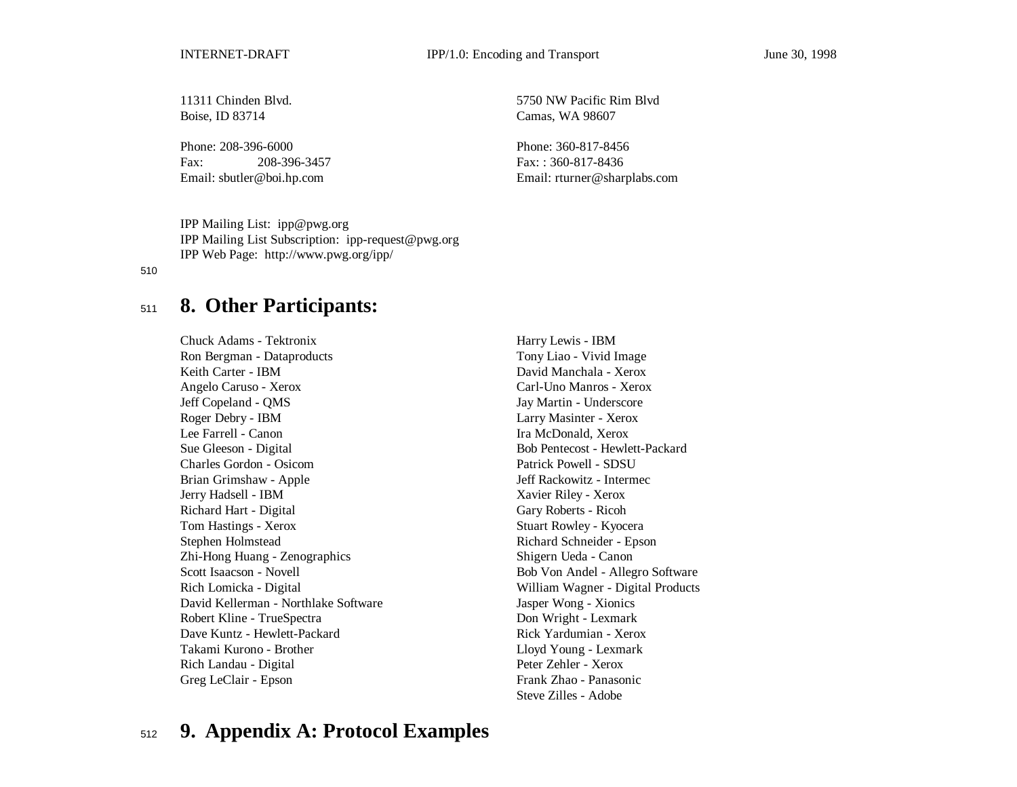Boise, ID 83714 Camas, WA 98607

Phone: 208-396-6000 Phone: 360-817-8456 Fax: 208-396-3457 Fax: : 360-817-8436

11311 Chinden Blvd. 5750 NW Pacific Rim Blvd

Email: sbutler@boi.hp.com Email: rturner@sharplabs.com

IPP Mailing List: ipp@pwg.org IPP Mailing List Subscription: ipp-request@pwg.org IPP Web Page: http://www.pwg.org/ipp/

#### 510

# <sup>511</sup> **8. Other Participants:**

Chuck Adams - Tektronix Harry Lewis - IBM Ron Bergman - Dataproducts Tony Liao - Vivid Image Keith Carter - IBM David Manchala - Xerox Angelo Caruso - Xerox Carl-Uno Manros - Xerox Jeff Copeland - QMS Jay Martin - Underscore Roger Debry - IBM Larry Masinter - Xerox Lee Farrell - Canon **Ira McDonald, Xerox** Ira McDonald, Xerox Sue Gleeson - Digital Bob Pentecost - Hewlett-Packard Charles Gordon - Osicom Patrick Powell - SDSU Brian Grimshaw - Apple Jeff Rackowitz - Intermec Jerry Hadsell - IBM Xavier Riley - Xerox Richard Hart - Digital Gary Roberts - Ricoh Tom Hastings - Xerox Stuart Rowley - Kyocera Stephen Holmstead Richard Schneider - Epson Zhi-Hong Huang - Zenographics Shigern Ueda - Canon Scott Isaacson - Novell Bob Von Andel - Allegro Software Rich Lomicka - Digital William Wagner - Digital Products David Kellerman - Northlake Software Jasper Wong - Xionics Robert Kline - TrueSpectra **Don Wright - Lexmark** Dave Kuntz - Hewlett-Packard Rick Yardumian - Xerox Takami Kurono - Brother Lloyd Young - Lexmark Rich Landau - Digital Peter Zehler - Xerox Greg LeClair - Epson Frank Zhao - Panasonic

Steve Zilles - Adobe

# <sup>512</sup> **9. Appendix A: Protocol Examples**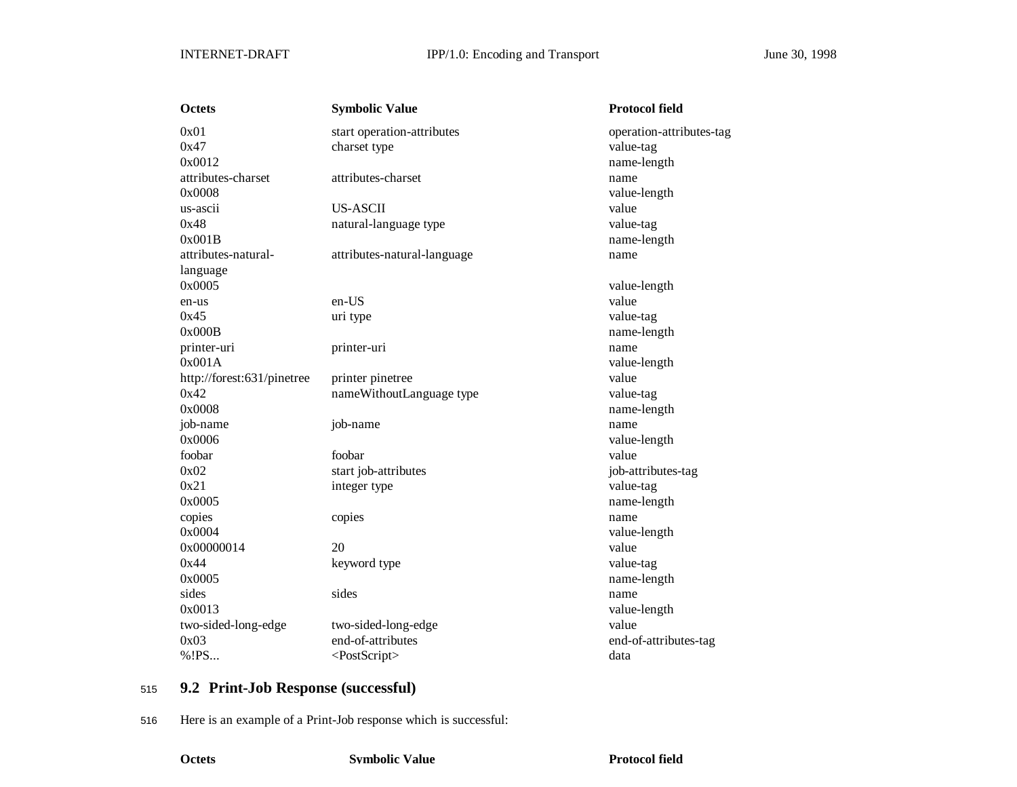| <b>Octets</b>              | <b>Symbolic Value</b>       | <b>Protocol field</b>    |
|----------------------------|-----------------------------|--------------------------|
| 0x01                       | start operation-attributes  | operation-attributes-tag |
| 0x47                       | charset type                | value-tag                |
| 0x0012                     |                             | name-length              |
| attributes-charset         | attributes-charset          | name                     |
| 0x0008                     |                             | value-length             |
| us-ascii                   | US-ASCII                    | value                    |
| 0x48                       | natural-language type       | value-tag                |
| 0x001B                     |                             | name-length              |
| attributes-natural-        | attributes-natural-language | name                     |
| language                   |                             |                          |
| 0x0005                     |                             | value-length             |
| en-us                      | en-US                       | value                    |
| 0x45                       | uri type                    | value-tag                |
| 0x000B                     |                             | name-length              |
| printer-uri                | printer-uri                 | name                     |
| 0x001A                     |                             | value-length             |
| http://forest:631/pinetree | printer pinetree            | value                    |
| 0x42                       | nameWithoutLanguage type    | value-tag                |
| 0x0008                     |                             | name-length              |
| job-name                   | job-name                    | name                     |
| 0x0006                     |                             | value-length             |
| foobar                     | foobar                      | value                    |
| 0x02                       | start job-attributes        | job-attributes-tag       |
| 0x21                       | integer type                | value-tag                |
| 0x0005                     |                             | name-length              |
| copies                     | copies                      | name                     |
| 0x0004                     |                             | value-length             |
| 0x00000014                 | 20                          | value                    |
| 0x44                       | keyword type                | value-tag                |
| 0x0005                     |                             | name-length              |
| sides                      | sides                       | name                     |
| 0x0013                     |                             | value-length             |
| two-sided-long-edge        | two-sided-long-edge         | value                    |
| 0x03                       | end-of-attributes           | end-of-attributes-tag    |
| %!PS                       | <postscript></postscript>   | data                     |
|                            |                             |                          |

# <sup>515</sup> **9.2 Print-Job Response (successful)**

516 Here is an example of a Print-Job response which is successful: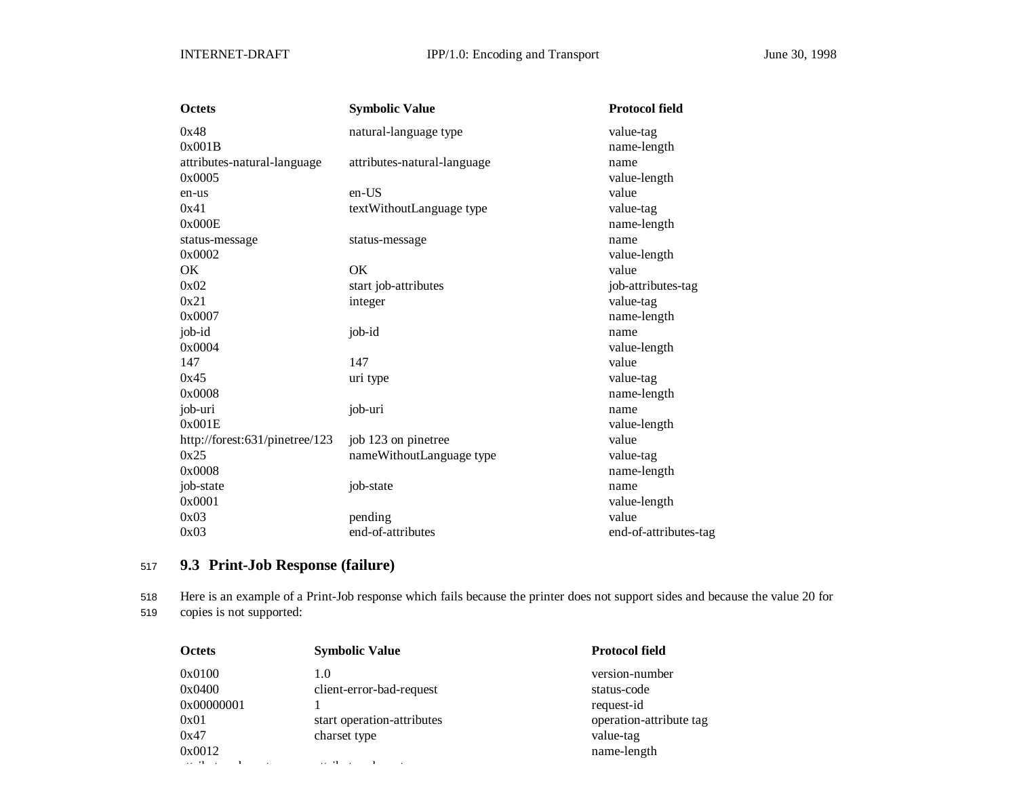| <b>Octets</b>                  | <b>Symbolic Value</b>       | <b>Protocol field</b> |
|--------------------------------|-----------------------------|-----------------------|
| 0x48                           | natural-language type       | value-tag             |
| 0x001B                         |                             | name-length           |
| attributes-natural-language    | attributes-natural-language | name                  |
| 0x0005                         |                             | value-length          |
| en-us                          | en-US                       | value                 |
| 0x41                           | textWithoutLanguage type    | value-tag             |
| 0x000E                         |                             | name-length           |
| status-message                 | status-message              | name                  |
| 0x0002                         |                             | value-length          |
| OK                             | <b>OK</b>                   | value                 |
| 0x02                           | start job-attributes        | job-attributes-tag    |
| 0x21                           | integer                     | value-tag             |
| 0x0007                         |                             | name-length           |
| job-id                         | job-id                      | name                  |
| 0x0004                         |                             | value-length          |
| 147                            | 147                         | value                 |
| 0x45                           | uri type                    | value-tag             |
| 0x0008                         |                             | name-length           |
| job-uri                        | job-uri                     | name                  |
| 0x001E                         |                             | value-length          |
| http://forest:631/pinetree/123 | job 123 on pinetree         | value                 |
| 0x25                           | nameWithoutLanguage type    | value-tag             |
| 0x0008                         |                             | name-length           |
| job-state                      | job-state                   | name                  |
| 0x0001                         |                             | value-length          |
| 0x03                           | pending                     | value                 |
| 0x03                           | end-of-attributes           | end-of-attributes-tag |

# <sup>517</sup> **9.3 Print-Job Response (failure)**

518 Here is an example of a Print-Job response which fails because the printer does not support sides and because the value 20 for 519 copies is not supported:

| <b>Octets</b>                     | <b>Symbolic Value</b>                     | <b>Protocol field</b>         |
|-----------------------------------|-------------------------------------------|-------------------------------|
| 0x0100<br>0x0400                  | 1.0<br>client-error-bad-request           | version-number<br>status-code |
| 0x00000001                        |                                           | request-id                    |
| 0x01                              | start operation-attributes                | operation-attribute tag       |
| 0x47                              | charset type                              | value-tag                     |
| 0x0012                            |                                           | name-length                   |
| the company of the company of the | $\sim$ $\sim$ $\sim$ $\sim$ $\sim$ $\sim$ |                               |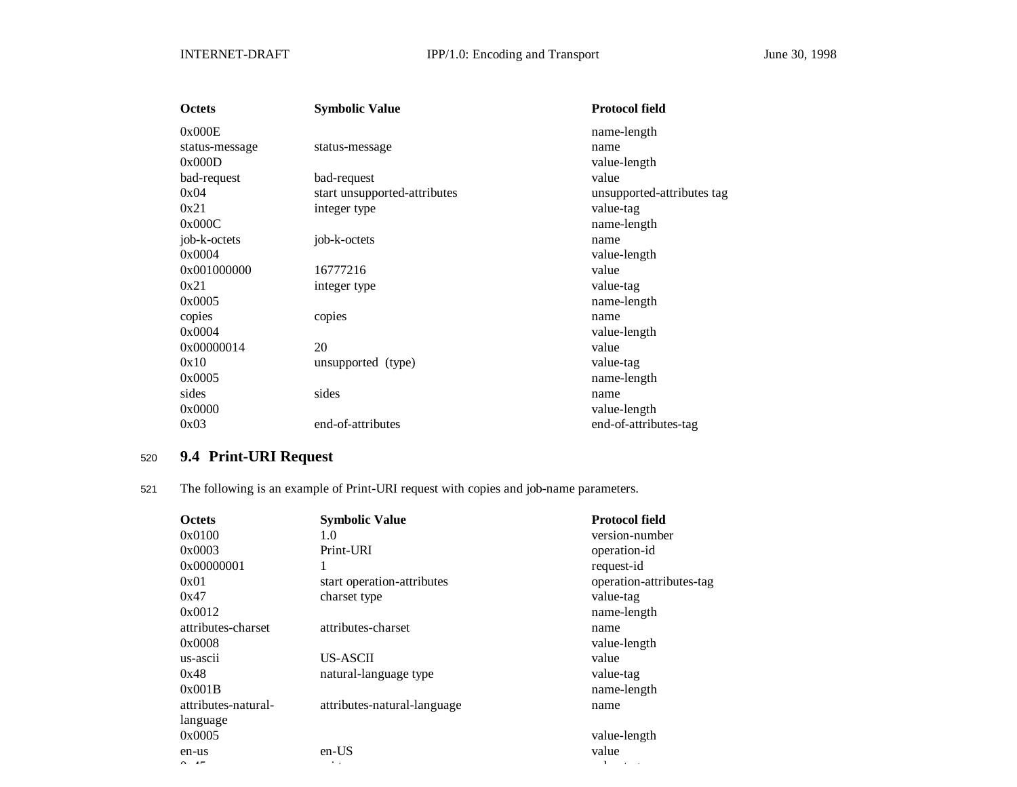| Octets         | <b>Symbolic Value</b>        | <b>Protocol field</b>      |
|----------------|------------------------------|----------------------------|
| 0x000E         |                              | name-length                |
| status-message | status-message               | name                       |
| 0x000D         |                              | value-length               |
| bad-request    | bad-request                  | value                      |
| 0x04           | start unsupported-attributes | unsupported-attributes tag |
| 0x21           | integer type                 | value-tag                  |
| 0x000C         |                              | name-length                |
| job-k-octets   | job-k-octets                 | name                       |
| 0x0004         |                              | value-length               |
| 0x001000000    | 16777216                     | value                      |
| 0x21           | integer type                 | value-tag                  |
| 0x0005         |                              | name-length                |
| copies         | copies                       | name                       |
| 0x0004         |                              | value-length               |
| 0x00000014     | 20                           | value                      |
| 0x10           | unsupported (type)           | value-tag                  |
| 0x0005         |                              | name-length                |
| sides          | sides                        | name                       |
| 0x0000         |                              | value-length               |
| 0x03           | end-of-attributes            | end-of-attributes-tag      |

# <sup>520</sup> **9.4 Print-URI Request**

521 The following is an example of Print-URI request with copies and job-name parameters.

| <b>Octets</b>       | <b>Symbolic Value</b>       | <b>Protocol field</b>    |
|---------------------|-----------------------------|--------------------------|
| 0x0100              | 1.0                         | version-number           |
| 0x0003              | Print-URI                   | operation-id             |
| 0x00000001          | 1                           | request-id               |
| 0x01                | start operation-attributes  | operation-attributes-tag |
| 0x47                | charset type                | value-tag                |
| 0x0012              |                             | name-length              |
| attributes-charset  | attributes-charset          | name                     |
| 0x0008              |                             | value-length             |
| us-ascii            | US-ASCII                    | value                    |
| 0x48                | natural-language type       | value-tag                |
| 0x001B              |                             | name-length              |
| attributes-natural- | attributes-natural-language | name                     |
| language            |                             |                          |
| 0x0005              |                             | value-length             |
| en-us               | $en-US$                     | value                    |
|                     |                             |                          |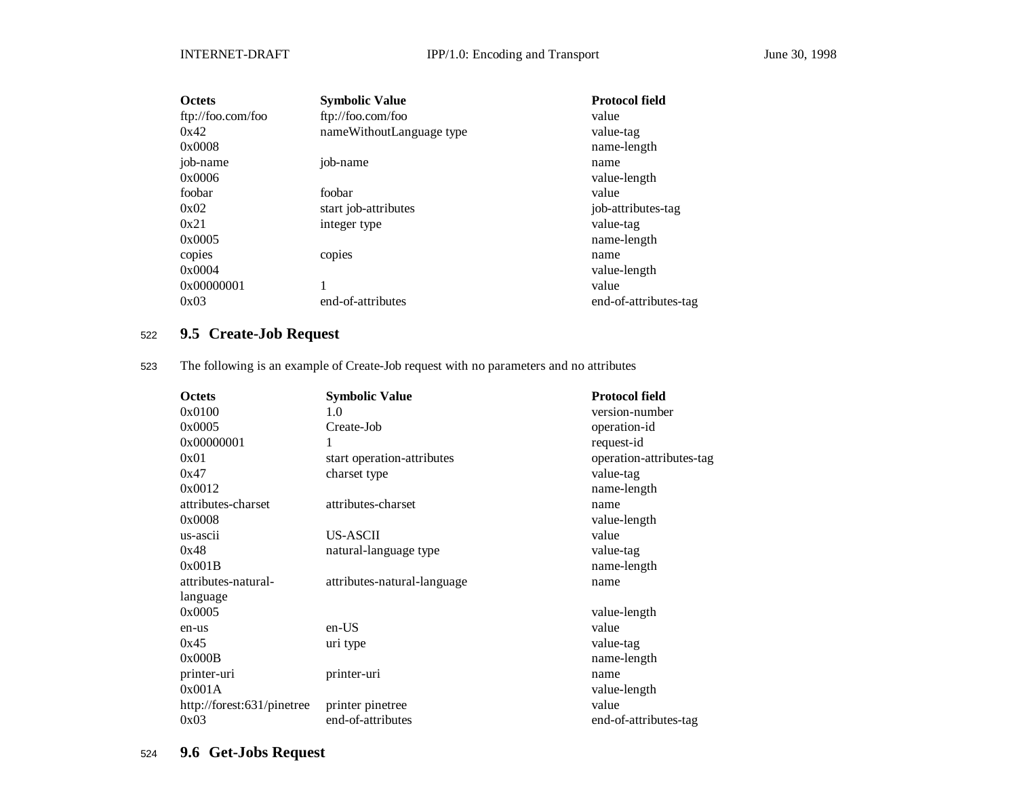| <b>Octets</b>     | <b>Symbolic Value</b>    | <b>Protocol field</b> |
|-------------------|--------------------------|-----------------------|
| ftp://foo.com/foo | ftp://foo.com/foo        | value                 |
| 0x42              | nameWithoutLanguage type | value-tag             |
| 0x0008            |                          | name-length           |
| job-name          | job-name                 | name                  |
| 0x0006            |                          | value-length          |
| foobar            | foobar                   | value                 |
| 0x02              | start job-attributes     | job-attributes-tag    |
| 0x21              | integer type             | value-tag             |
| 0x0005            |                          | name-length           |
| copies            | copies                   | name                  |
| 0x0004            |                          | value-length          |
| 0x00000001        |                          | value                 |
| 0x03              | end-of-attributes        | end-of-attributes-tag |

# <sup>522</sup> **9.5 Create-Job Request**

523 The following is an example of Create-Job request with no parameters and no attributes

| <b>Octets</b>              | <b>Symbolic Value</b>       | <b>Protocol field</b>    |
|----------------------------|-----------------------------|--------------------------|
| 0x0100                     | 1.0                         | version-number           |
| 0x0005                     | Create-Job                  | operation-id             |
| 0x00000001                 | 1                           | request-id               |
| 0x01                       | start operation-attributes  | operation-attributes-tag |
| 0x47                       | charset type                | value-tag                |
| 0x0012                     |                             | name-length              |
| attributes-charset         | attributes-charset          | name                     |
| 0x0008                     |                             | value-length             |
| us-ascii                   | US-ASCII                    | value                    |
| 0x48                       | natural-language type       | value-tag                |
| 0x001B                     |                             | name-length              |
| attributes-natural-        | attributes-natural-language | name                     |
| language                   |                             |                          |
| 0x0005                     |                             | value-length             |
| en-us                      | en-US                       | value                    |
| 0x45                       | uri type                    | value-tag                |
| 0x000B                     |                             | name-length              |
| printer-uri                | printer-uri                 | name                     |
| 0x001A                     |                             | value-length             |
| http://forest:631/pinetree | printer pinetree            | value                    |
| 0x03                       | end-of-attributes           | end-of-attributes-tag    |

# <sup>524</sup> **9.6 Get-Jobs Request**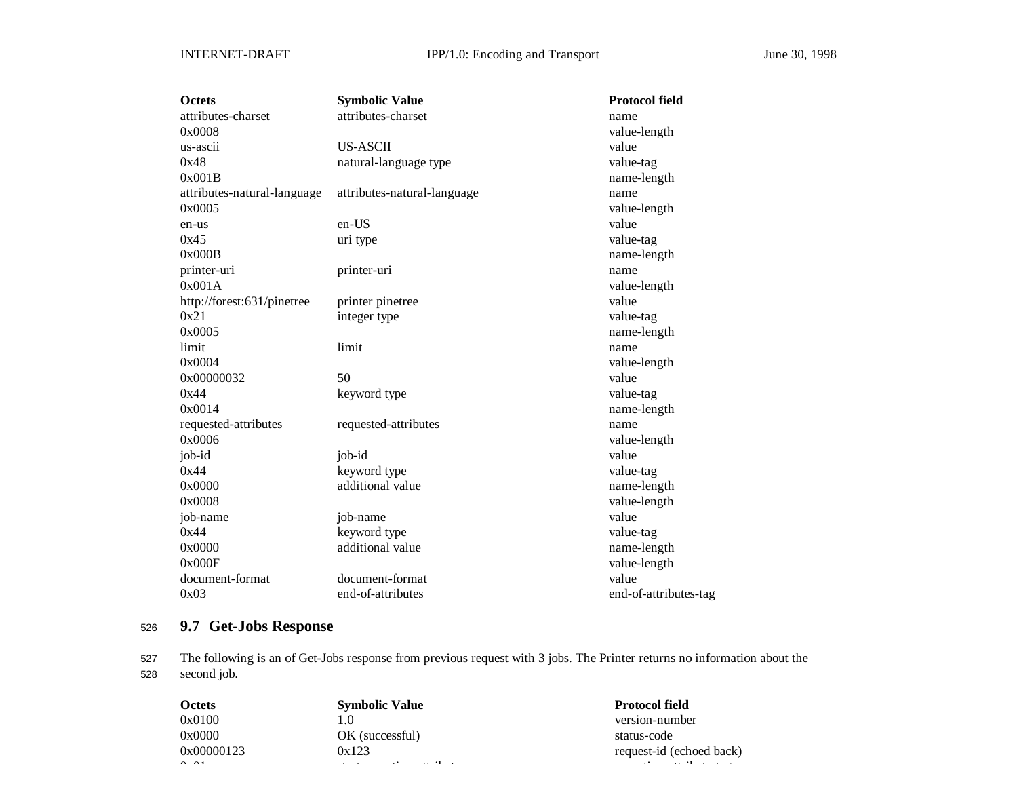| <b>Octets</b>               | <b>Symbolic Value</b>       | <b>Protocol field</b> |
|-----------------------------|-----------------------------|-----------------------|
| attributes-charset          | attributes-charset          | name                  |
| 0x0008                      |                             | value-length          |
| us-ascii                    | US-ASCII                    | value                 |
| 0x48                        | natural-language type       | value-tag             |
| 0x001B                      |                             | name-length           |
| attributes-natural-language | attributes-natural-language | name                  |
| 0x0005                      |                             | value-length          |
| en-us                       | en-US                       | value                 |
| 0x45                        | uri type                    | value-tag             |
| 0x000B                      |                             | name-length           |
| printer-uri                 | printer-uri                 | name                  |
| 0x001A                      |                             | value-length          |
| http://forest:631/pinetree  | printer pinetree            | value                 |
| 0x21                        | integer type                | value-tag             |
| 0x0005                      |                             | name-length           |
| limit                       | limit                       | name                  |
| 0x0004                      |                             | value-length          |
| 0x00000032                  | 50                          | value                 |
| 0x44                        | keyword type                | value-tag             |
| 0x0014                      |                             | name-length           |
| requested-attributes        | requested-attributes        | name                  |
| 0x0006                      |                             | value-length          |
| job-id                      | job-id                      | value                 |
| 0x44                        | keyword type                | value-tag             |
| 0x0000                      | additional value            | name-length           |
| 0x0008                      |                             | value-length          |
| job-name                    | job-name                    | value                 |
| 0x44                        | keyword type                | value-tag             |
| 0x0000                      | additional value            | name-length           |
| 0x000F                      |                             | value-length          |
| document-format             | document-format             | value                 |
| 0x03                        | end-of-attributes           | end-of-attributes-tag |

# <sup>526</sup> **9.7 Get-Jobs Response**

527 The following is an of Get-Jobs response from previous request with 3 jobs. The Printer returns no information about the 528 second job.

| <b>Octets</b>        | <b>Symbolic Value</b>                                                                                                                                | <b>Protocol field</b>                      |
|----------------------|------------------------------------------------------------------------------------------------------------------------------------------------------|--------------------------------------------|
| 0x0100               | LO.                                                                                                                                                  | version-number                             |
| 0x0000               | OK (successful)                                                                                                                                      | status-code                                |
| 0x00000123           | 0x123                                                                                                                                                | request-id (echoed back)                   |
| $\sim$ $\sim$ $\sim$ | the contract of the contract of the contract of the contract of the contract of the contract of the contract of<br>the company's company's company's | the committee of the committee of the com- |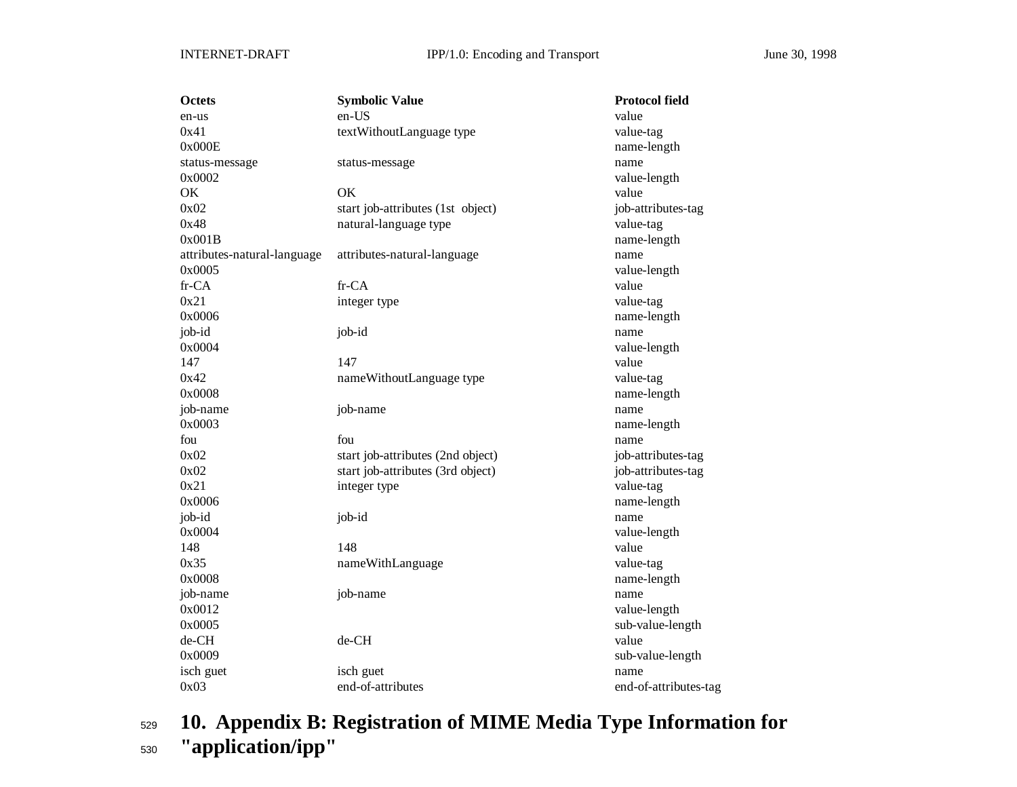| <b>Octets</b>               | <b>Symbolic Value</b>             | <b>Protocol field</b> |
|-----------------------------|-----------------------------------|-----------------------|
| en-us                       | en-US                             | value                 |
| 0x41                        | textWithoutLanguage type          | value-tag             |
| 0x000E                      |                                   | name-length           |
| status-message              | status-message                    | name                  |
| 0x0002                      |                                   | value-length          |
| OK                          | OK                                | value                 |
| 0x02                        | start job-attributes (1st object) | job-attributes-tag    |
| 0x48                        | natural-language type             | value-tag             |
| 0x001B                      |                                   | name-length           |
| attributes-natural-language | attributes-natural-language       | name                  |
| 0x0005                      |                                   | value-length          |
| fr-CA                       | fr-CA                             | value                 |
| 0x21                        | integer type                      | value-tag             |
| 0x0006                      |                                   | name-length           |
| job-id                      | job-id                            | name                  |
| 0x0004                      |                                   | value-length          |
| 147                         | 147                               | value                 |
| 0x42                        | nameWithoutLanguage type          | value-tag             |
| 0x0008                      |                                   | name-length           |
| job-name                    | job-name                          | name                  |
| 0x0003                      |                                   | name-length           |
| fou                         | fou                               | name                  |
| 0x02                        | start job-attributes (2nd object) | job-attributes-tag    |
| 0x02                        | start job-attributes (3rd object) | job-attributes-tag    |
| 0x21                        | integer type                      | value-tag             |
| 0x0006                      |                                   | name-length           |
| job-id                      | job-id                            | name                  |
| 0x0004                      |                                   | value-length          |
| 148                         | 148                               | value                 |
| 0x35                        | nameWithLanguage                  | value-tag             |
| 0x0008                      |                                   | name-length           |
| job-name                    | job-name                          | name                  |
| 0x0012                      |                                   | value-length          |
| 0x0005                      |                                   | sub-value-length      |
| de-CH                       | de-CH                             | value                 |
| 0x0009                      |                                   | sub-value-length      |
| isch guet                   | isch guet                         | name                  |
| 0x03                        | end-of-attributes                 | end-of-attributes-tag |

<sup>529</sup> **10. Appendix B: Registration of MIME Media Type Information for** <sup>530</sup> **"application/ipp"**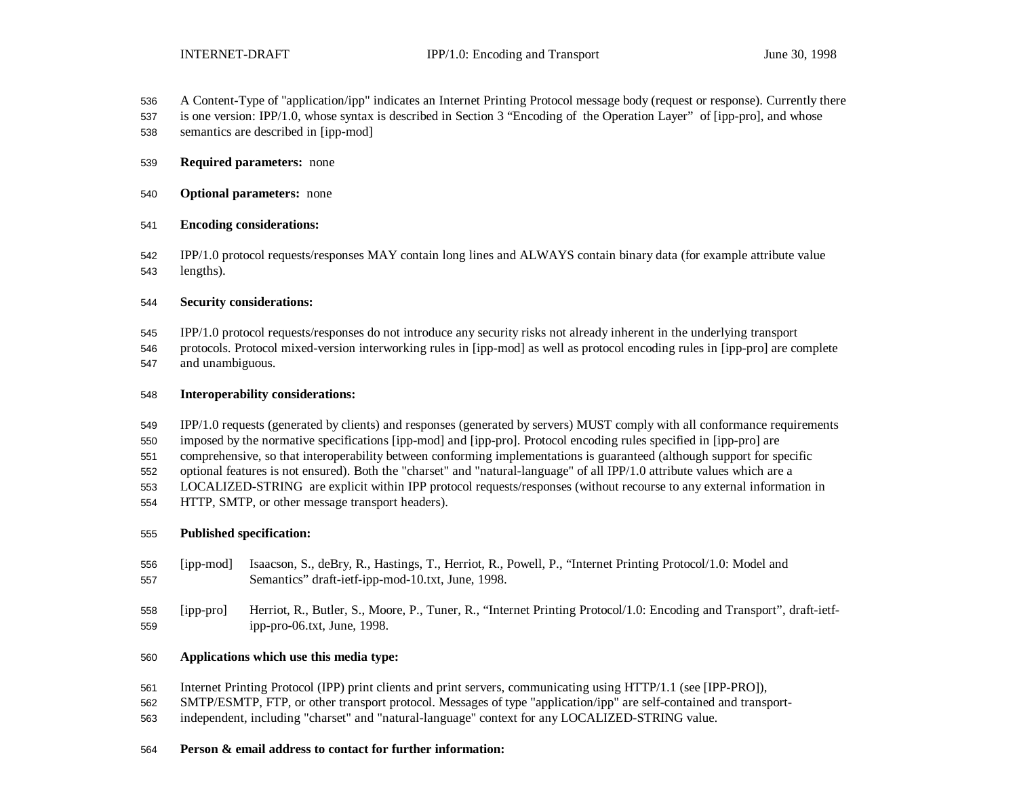- A Content-Type of "application/ipp" indicates an Internet Printing Protocol message body (request or response). Currently there
- is one version: IPP/1.0, whose syntax is described in Section 3 "Encoding of the Operation Layer" of [ipp-pro], and whose
- semantics are described in [ipp-mod]
- **Required parameters:** none
- **Optional parameters:** none
- **Encoding considerations:**
- IPP/1.0 protocol requests/responses MAY contain long lines and ALWAYS contain binary data (for example attribute value lengths).

#### **Security considerations:**

- IPP/1.0 protocol requests/responses do not introduce any security risks not already inherent in the underlying transport
- protocols. Protocol mixed-version interworking rules in [ipp-mod] as well as protocol encoding rules in [ipp-pro] are complete and unambiguous.

#### **Interoperability considerations:**

- IPP/1.0 requests (generated by clients) and responses (generated by servers) MUST comply with all conformance requirements
- imposed by the normative specifications [ipp-mod] and [ipp-pro]. Protocol encoding rules specified in [ipp-pro] are
- comprehensive, so that interoperability between conforming implementations is guaranteed (although support for specific
- optional features is not ensured). Both the "charset" and "natural-language" of all IPP/1.0 attribute values which are a
- LOCALIZED-STRING are explicit within IPP protocol requests/responses (without recourse to any external information in
- HTTP, SMTP, or other message transport headers).

#### **Published specification:**

- [ipp-mod] Isaacson, S., deBry, R., Hastings, T., Herriot, R., Powell, P., "Internet Printing Protocol/1.0: Model and Semantics" draft-ietf-ipp-mod-10.txt, June, 1998.
- [ipp-pro] Herriot, R., Butler, S., Moore, P., Tuner, R., "Internet Printing Protocol/1.0: Encoding and Transport", draft-ietf-ipp-pro-06.txt, June, 1998.

#### **Applications which use this media type:**

- Internet Printing Protocol (IPP) print clients and print servers, communicating using HTTP/1.1 (see [IPP-PRO]),
- SMTP/ESMTP, FTP, or other transport protocol. Messages of type "application/ipp" are self-contained and transport-
- independent, including "charset" and "natural-language" context for any LOCALIZED-STRING value.

### **Person & email address to contact for further information:**